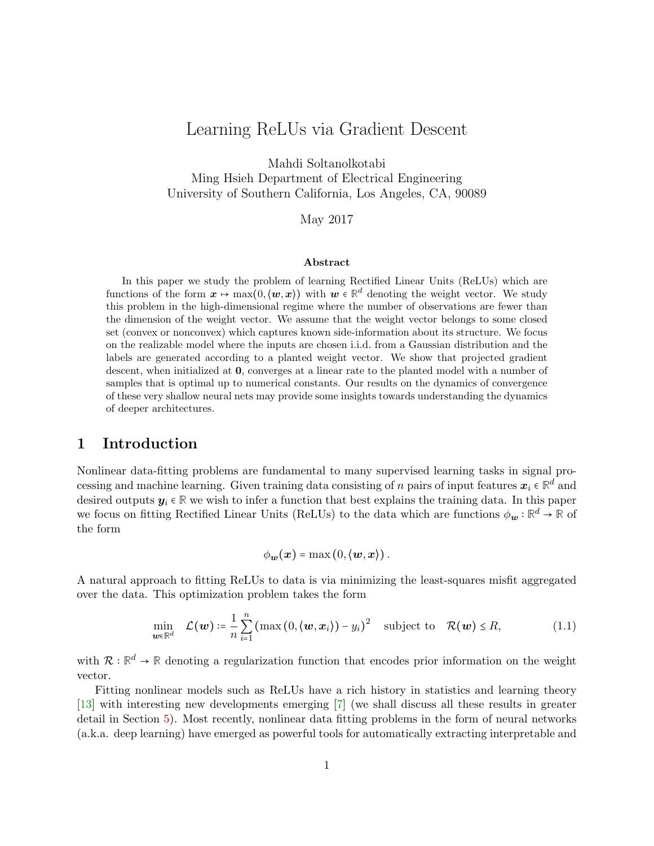# <span id="page-0-1"></span>Learning ReLUs via Gradient Descent

Mahdi Soltanolkotabi

Ming Hsieh Department of Electrical Engineering University of Southern California, Los Angeles, CA, 90089

May 2017

#### Abstract

In this paper we study the problem of learning Rectified Linear Units (ReLUs) which are functions of the form  $x \mapsto \max(0, \langle w, x \rangle)$  with  $w \in \mathbb{R}^d$  denoting the weight vector. We study this problem in the high-dimensional regime where the number of observations are fewer than the dimension of the weight vector. We assume that the weight vector belongs to some closed set (convex or nonconvex) which captures known side-information about its structure. We focus on the realizable model where the inputs are chosen i.i.d. from a Gaussian distribution and the labels are generated according to a planted weight vector. We show that projected gradient descent, when initialized at 0, converges at a linear rate to the planted model with a number of samples that is optimal up to numerical constants. Our results on the dynamics of convergence of these very shallow neural nets may provide some insights towards understanding the dynamics of deeper architectures.

## 1 Introduction

Nonlinear data-fitting problems are fundamental to many supervised learning tasks in signal processing and machine learning. Given training data consisting of n pairs of input features  $x_i \in \mathbb{R}^d$  and desired outputs  $y_i \in \mathbb{R}$  we wish to infer a function that best explains the training data. In this paper we focus on fitting Rectified Linear Units (ReLUs) to the data which are functions  $\phi_{\bf w} : \mathbb{R}^d \to \mathbb{R}$  of the form

<span id="page-0-0"></span>
$$
\phi_{\mathbf{w}}(\mathbf{x}) = \max(0, \langle \mathbf{w}, \mathbf{x} \rangle).
$$

A natural approach to fitting ReLUs to data is via minimizing the least-squares misfit aggregated over the data. This optimization problem takes the form

$$
\min_{\boldsymbol{w}\in\mathbb{R}^d} \quad \mathcal{L}(\boldsymbol{w}) \coloneqq \frac{1}{n} \sum_{i=1}^n \left( \max\left(0, \langle \boldsymbol{w}, \boldsymbol{x}_i \rangle \right) - y_i \right)^2 \quad \text{subject to} \quad \mathcal{R}(\boldsymbol{w}) \leq R, \tag{1.1}
$$

with  $\mathcal{R}:\mathbb{R}^d \to \mathbb{R}$  denoting a regularization function that encodes prior information on the weight vector.

Fitting nonlinear models such as ReLUs have a rich history in statistics and learning theory [\[13\]](#page-17-0) with interesting new developments emerging [\[7\]](#page-17-1) (we shall discuss all these results in greater detail in Section [5\)](#page-4-0). Most recently, nonlinear data fitting problems in the form of neural networks (a.k.a. deep learning) have emerged as powerful tools for automatically extracting interpretable and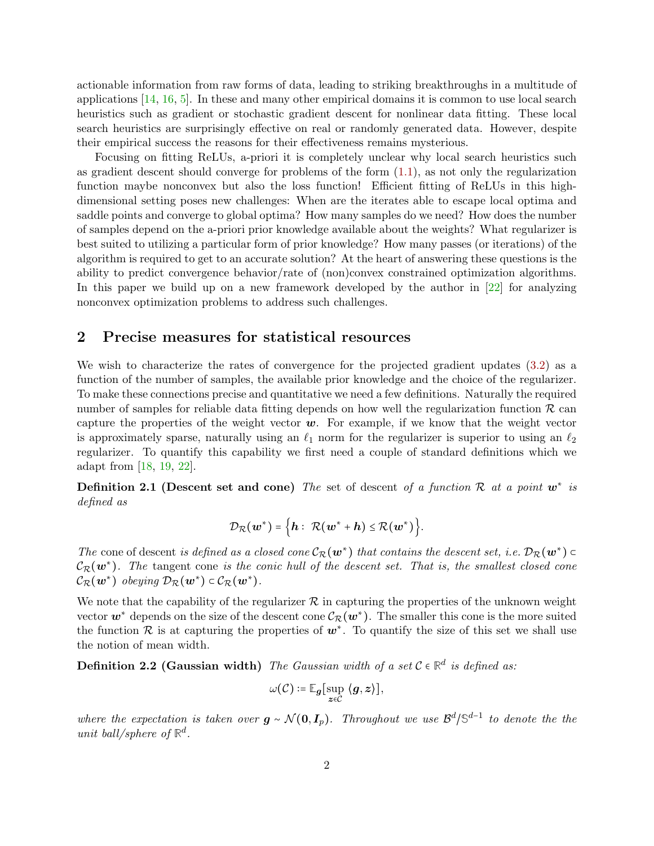actionable information from raw forms of data, leading to striking breakthroughs in a multitude of applications [\[14,](#page-17-2) [16,](#page-17-3) [5\]](#page-17-4). In these and many other empirical domains it is common to use local search heuristics such as gradient or stochastic gradient descent for nonlinear data fitting. These local search heuristics are surprisingly effective on real or randomly generated data. However, despite their empirical success the reasons for their effectiveness remains mysterious.

Focusing on fitting ReLUs, a-priori it is completely unclear why local search heuristics such as gradient descent should converge for problems of the form [\(1.1\)](#page-0-0), as not only the regularization function maybe nonconvex but also the loss function! Efficient fitting of ReLUs in this highdimensional setting poses new challenges: When are the iterates able to escape local optima and saddle points and converge to global optima? How many samples do we need? How does the number of samples depend on the a-priori prior knowledge available about the weights? What regularizer is best suited to utilizing a particular form of prior knowledge? How many passes (or iterations) of the algorithm is required to get to an accurate solution? At the heart of answering these questions is the ability to predict convergence behavior/rate of (non)convex constrained optimization algorithms. In this paper we build up on a new framework developed by the author in [\[22\]](#page-18-0) for analyzing nonconvex optimization problems to address such challenges.

## 2 Precise measures for statistical resources

We wish to characterize the rates of convergence for the projected gradient updates [\(3.2\)](#page-2-0) as a function of the number of samples, the available prior knowledge and the choice of the regularizer. To make these connections precise and quantitative we need a few definitions. Naturally the required number of samples for reliable data fitting depends on how well the regularization function  $\mathcal R$  can capture the properties of the weight vector  $w$ . For example, if we know that the weight vector is approximately sparse, naturally using an  $\ell_1$  norm for the regularizer is superior to using an  $\ell_2$ regularizer. To quantify this capability we first need a couple of standard definitions which we adapt from [\[18,](#page-17-5) [19,](#page-18-1) [22\]](#page-18-0).

Definition 2.1 (Descent set and cone) The set of descent of a function  $\mathcal R$  at a point  $w^*$  is defined as

$$
\mathcal{D}_{\mathcal{R}}(\boldsymbol{w}^*) = \Big\{\boldsymbol{h}:~ \mathcal{R}(\boldsymbol{w}^* + \boldsymbol{h}) \leq \mathcal{R}(\boldsymbol{w}^*)\Big\}.
$$

The cone of descent is defined as a closed cone  $\mathcal{C}_{\mathcal{R}}(w^*)$  that contains the descent set, i.e.  $\mathcal{D}_{\mathcal{R}}(w^*)$  $\mathcal{C}_{\mathcal{R}}(\bm{w}^*)$ . The tangent cone is the conic hull of the descent set. That is, the smallest closed cone  $\mathcal{C}_{\mathcal{R}}(w^*)$  obeying  $\mathcal{D}_{\mathcal{R}}(w^*)$   $\subset$   $\mathcal{C}_{\mathcal{R}}(w^*)$ .

We note that the capability of the regularizer  $R$  in capturing the properties of the unknown weight vector  $w^*$  depends on the size of the descent cone  $\mathcal{C}_{\mathcal{R}}(w^*)$ . The smaller this cone is the more suited the function R is at capturing the properties of  $w^*$ . To quantify the size of this set we shall use the notion of mean width.

**Definition 2.2 (Gaussian width)** The Gaussian width of a set  $C \in \mathbb{R}^d$  is defined as:

$$
\omega(\mathcal{C}) \coloneqq \mathbb{E}_{\boldsymbol{g}} \big[ \sup_{\boldsymbol{z} \in \mathcal{C}} \ \langle \boldsymbol{g}, \boldsymbol{z} \rangle \big],
$$

where the expectation is taken over  $g \sim \mathcal{N}(0, I_p)$ . Throughout we use  $\mathcal{B}^d/\mathbb{S}^{d-1}$  to denote the the unit ball/sphere of  $\mathbb{R}^d$ .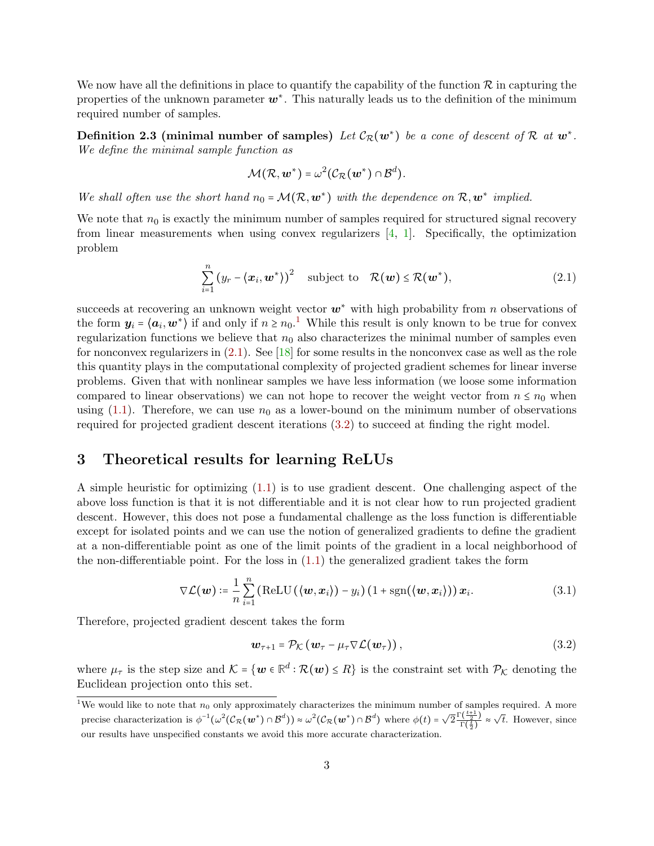We now have all the definitions in place to quantify the capability of the function  $\mathcal R$  in capturing the properties of the unknown parameter  $w^*$ . This naturally leads us to the definition of the minimum required number of samples.

Definition 2.3 (minimal number of samples) Let  $\mathcal{C}_{\mathcal{R}}(w^*)$  be a cone of descent of R at  $w^*$ . We define the minimal sample function as

<span id="page-2-3"></span><span id="page-2-1"></span>
$$
\mathcal{M}(\mathcal{R}, \bm{w}^*) = \omega^2(\mathcal{C}_{\mathcal{R}}(\bm{w}^*) \cap \mathcal{B}^d).
$$

We shall often use the short hand  $n_0 = \mathcal{M}(\mathcal{R}, \mathbf{w}^*)$  with the dependence on  $\mathcal{R}, \mathbf{w}^*$  implied.

We note that  $n_0$  is exactly the minimum number of samples required for structured signal recovery from linear measurements when using convex regularizers [\[4,](#page-17-6) [1\]](#page-16-0). Specifically, the optimization problem

$$
\sum_{i=1}^{n} (y_r - \langle x_i, \mathbf{w}^* \rangle)^2 \quad \text{subject to} \quad \mathcal{R}(\mathbf{w}) \le \mathcal{R}(\mathbf{w}^*), \tag{2.1}
$$

succeeds at recovering an unknown weight vector  $w^*$  with high probability from n observations of the form  $y_i = \langle a_i, w^* \rangle$  if and only if  $n \geq n_0$ .<sup>[1](#page-0-1)</sup> While this result is only known to be true for convex regularization functions we believe that  $n_0$  also characterizes the minimal number of samples even for nonconvex regularizers in [\(2.1\)](#page-2-1). See [\[18\]](#page-17-5) for some results in the nonconvex case as well as the role this quantity plays in the computational complexity of projected gradient schemes for linear inverse problems. Given that with nonlinear samples we have less information (we loose some information compared to linear observations) we can not hope to recover the weight vector from  $n \leq n_0$  when using  $(1.1)$ . Therefore, we can use  $n_0$  as a lower-bound on the minimum number of observations required for projected gradient descent iterations [\(3.2\)](#page-2-0) to succeed at finding the right model.

## 3 Theoretical results for learning ReLUs

A simple heuristic for optimizing [\(1.1\)](#page-0-0) is to use gradient descent. One challenging aspect of the above loss function is that it is not differentiable and it is not clear how to run projected gradient descent. However, this does not pose a fundamental challenge as the loss function is differentiable except for isolated points and we can use the notion of generalized gradients to define the gradient at a non-differentiable point as one of the limit points of the gradient in a local neighborhood of the non-differentiable point. For the loss in  $(1.1)$  the generalized gradient takes the form

$$
\nabla \mathcal{L}(\boldsymbol{w}) \coloneqq \frac{1}{n} \sum_{i=1}^{n} \left( \text{ReLU}\left( \langle \boldsymbol{w}, \boldsymbol{x}_i \rangle \right) - y_i \right) \left( 1 + \text{sgn}(\langle \boldsymbol{w}, \boldsymbol{x}_i \rangle) \right) \boldsymbol{x}_i. \tag{3.1}
$$

Therefore, projected gradient descent takes the form

<span id="page-2-4"></span><span id="page-2-2"></span><span id="page-2-0"></span>
$$
\mathbf{w}_{\tau+1} = \mathcal{P}_{\mathcal{K}}\left(\mathbf{w}_{\tau} - \mu_{\tau} \nabla \mathcal{L}(\mathbf{w}_{\tau})\right),\tag{3.2}
$$

where  $\mu_{\tau}$  is the step size and  $\mathcal{K} = \{ \mathbf{w} \in \mathbb{R}^d : \mathcal{R}(\mathbf{w}) \leq R \}$  is the constraint set with  $\mathcal{P}_{\mathcal{K}}$  denoting the Euclidean projection onto this set.

<sup>&</sup>lt;sup>1</sup>We would like to note that  $n_0$  only approximately characterizes the minimum number of samples required. A more precise characterization is  $\phi^{-1}(\omega^2(\mathcal{C}_R(\boldsymbol{w}^*)) \propto \omega^2(\mathcal{C}_R(\boldsymbol{w}^*)) \propto \theta^d)$  where  $\phi(t) = \sqrt{2} \frac{\Gamma(\frac{t+1}{2})}{\Gamma(\frac{t}{2})}$  $\frac{\Gamma(\frac{t+1}{2})}{\Gamma(\frac{t}{2})} \approx \sqrt{t}$ . However, since our results have unspecified constants we avoid this more accurate characterization.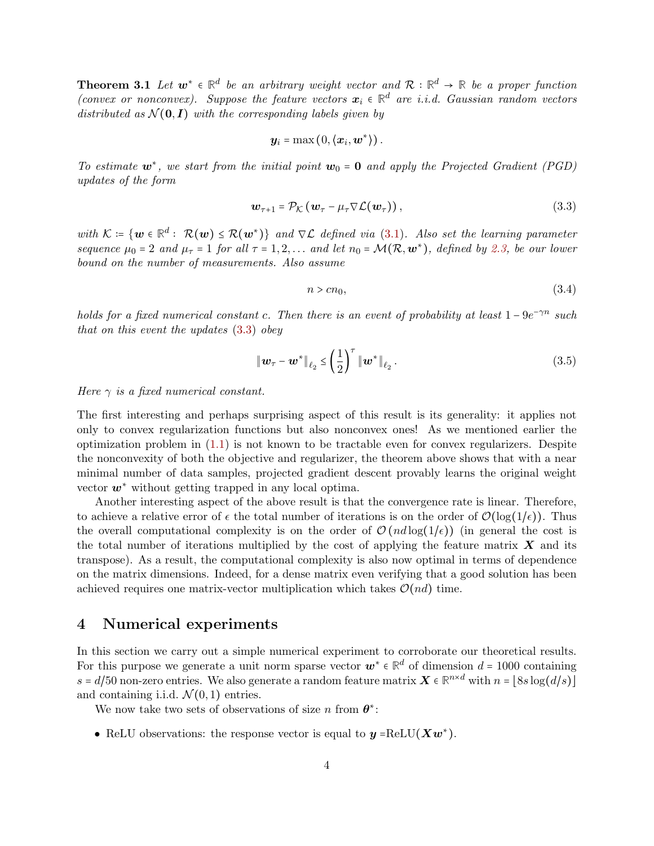**Theorem 3.1** Let  $w^* \in \mathbb{R}^d$  be an arbitrary weight vector and  $\mathcal{R}: \mathbb{R}^d \to \mathbb{R}$  be a proper function (convex or nonconvex). Suppose the feature vectors  $x_i \in \mathbb{R}^d$  are i.i.d. Gaussian random vectors distributed as  $\mathcal{N}(\mathbf{0}, I)$  with the corresponding labels given by

$$
\boldsymbol{y}_i = \max(0, \langle \boldsymbol{x}_i, \boldsymbol{w}^* \rangle).
$$

To estimate  $w^*$ , we start from the initial point  $w_0 = 0$  and apply the Projected Gradient (PGD) updates of the form

$$
\mathbf{w}_{\tau+1} = \mathcal{P}_{\mathcal{K}} \left( \mathbf{w}_{\tau} - \mu_{\tau} \nabla \mathcal{L}(\mathbf{w}_{\tau}) \right), \tag{3.3}
$$

with  $\mathcal{K} = \{ \mathbf{w} \in \mathbb{R}^d : \mathcal{R}(\mathbf{w}) \leq \mathcal{R}(\mathbf{w}^*) \}$  and  $\nabla \mathcal{L}$  defined via [\(3.1\)](#page-2-2). Also set the learning parameter sequence  $\mu_0 = 2$  and  $\mu_{\tau} = 1$  for all  $\tau = 1, 2, \ldots$  and let  $n_0 = \mathcal{M}(\mathcal{R}, \mathbf{w}^*)$ , defined by [2.3,](#page-2-3) be our lower bound on the number of measurements. Also assume

<span id="page-3-1"></span><span id="page-3-0"></span>
$$
n > cn_0,\tag{3.4}
$$

holds for a fixed numerical constant c. Then there is an event of probability at least  $1 - 9e^{-\gamma n}$  such that on this event the updates [\(3.3\)](#page-3-0) obey

$$
\|\mathbf{w}_{\tau} - \mathbf{w}^*\|_{\ell_2} \le \left(\frac{1}{2}\right)^{\tau} \|\mathbf{w}^*\|_{\ell_2}.
$$
 (3.5)

Here  $\gamma$  is a fixed numerical constant.

The first interesting and perhaps surprising aspect of this result is its generality: it applies not only to convex regularization functions but also nonconvex ones! As we mentioned earlier the optimization problem in [\(1.1\)](#page-0-0) is not known to be tractable even for convex regularizers. Despite the nonconvexity of both the objective and regularizer, the theorem above shows that with a near minimal number of data samples, projected gradient descent provably learns the original weight vector  $w^*$  without getting trapped in any local optima.

Another interesting aspect of the above result is that the convergence rate is linear. Therefore, to achieve a relative error of  $\epsilon$  the total number of iterations is on the order of  $\mathcal{O}(\log(1/\epsilon))$ . Thus the overall computational complexity is on the order of  $\mathcal{O}(nd \log(1/\epsilon))$  (in general the cost is the total number of iterations multiplied by the cost of applying the feature matrix  $\boldsymbol{X}$  and its transpose). As a result, the computational complexity is also now optimal in terms of dependence on the matrix dimensions. Indeed, for a dense matrix even verifying that a good solution has been achieved requires one matrix-vector multiplication which takes  $\mathcal{O}(nd)$  time.

## 4 Numerical experiments

In this section we carry out a simple numerical experiment to corroborate our theoretical results. For this purpose we generate a unit norm sparse vector  $w^* \in \mathbb{R}^d$  of dimension  $d = 1000$  containing  $s = d/50$  non-zero entries. We also generate a random feature matrix  $\boldsymbol{X} \in \mathbb{R}^{n \times d}$  with  $n = \lfloor 8s \log(d/s) \rfloor$ and containing i.i.d.  $\mathcal{N}(0,1)$  entries.

We now take two sets of observations of size n from  $\boldsymbol{\theta}^*$ :

• ReLU observations: the response vector is equal to  $y = \text{ReLU}(Xw^*)$ .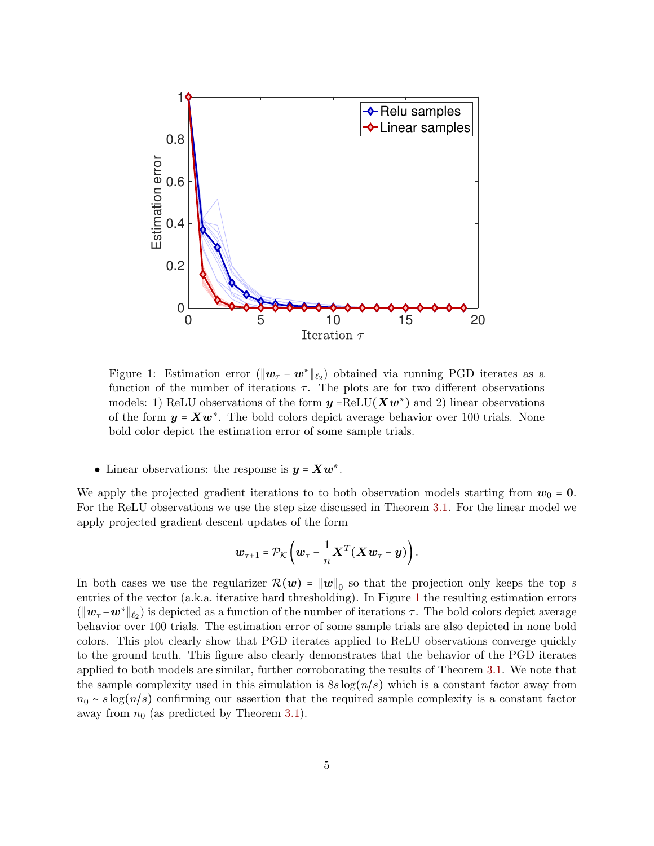<span id="page-4-1"></span>

Figure 1: Estimation error  $(\|\boldsymbol{w}_{\tau} - \boldsymbol{w}^*\|_{\ell_2})$  obtained via running PGD iterates as a function of the number of iterations  $\tau$ . The plots are for two different observations models: 1) ReLU observations of the form  $y = \text{ReLU}(Xw^*)$  and 2) linear observations of the form  $y = Xw^*$ . The bold colors depict average behavior over 100 trials. None bold color depict the estimation error of some sample trials.

• Linear observations: the response is  $y = Xw^*$ .

We apply the projected gradient iterations to to both observation models starting from  $w_0 = 0$ . For the ReLU observations we use the step size discussed in Theorem [3.1.](#page-2-4) For the linear model we apply projected gradient descent updates of the form

$$
\boldsymbol{w}_{\tau+1} = \mathcal{P}_{\mathcal{K}}\left(\boldsymbol{w}_{\tau} - \frac{1}{n}\boldsymbol{X}^T(\boldsymbol{X}\boldsymbol{w}_{\tau} - \boldsymbol{y})\right).
$$

<span id="page-4-0"></span>In both cases we use the regularizer  $\mathcal{R}(w) = \|w\|_0$  so that the projection only keeps the top s entries of the vector (a.k.a. iterative hard thresholding). In Figure [1](#page-4-1) the resulting estimation errors  $(\|\mathbf{w}_{\tau} - \mathbf{w}^*\|_{\ell_2})$  is depicted as a function of the number of iterations  $\tau$ . The bold colors depict average behavior over 100 trials. The estimation error of some sample trials are also depicted in none bold colors. This plot clearly show that PGD iterates applied to ReLU observations converge quickly to the ground truth. This figure also clearly demonstrates that the behavior of the PGD iterates applied to both models are similar, further corroborating the results of Theorem [3.1.](#page-2-4) We note that the sample complexity used in this simulation is  $8s \log(n/s)$  which is a constant factor away from  $n_0 \sim s \log(n/s)$  confirming our assertion that the required sample complexity is a constant factor away from  $n_0$  (as predicted by Theorem [3.1\)](#page-2-4).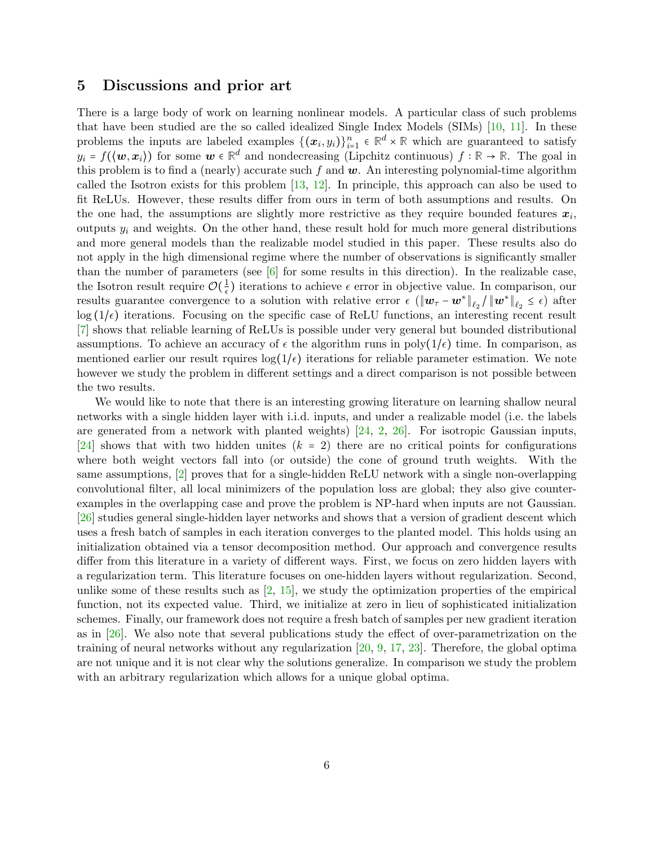## 5 Discussions and prior art

There is a large body of work on learning nonlinear models. A particular class of such problems that have been studied are the so called idealized Single Index Models (SIMs) [\[10,](#page-17-7) [11\]](#page-17-8). In these problems the inputs are labeled examples  $\{(\bm{x}_i, y_i)\}_{i=1}^n \in \mathbb{R}^d \times \mathbb{R}$  which are guaranteed to satisfy  $y_i = f(\langle \boldsymbol{w}, \boldsymbol{x}_i \rangle)$  for some  $\boldsymbol{w} \in \mathbb{R}^d$  and nondecreasing (Lipchitz continuous)  $f : \mathbb{R} \to \mathbb{R}$ . The goal in this problem is to find a (nearly) accurate such f and  $w$ . An interesting polynomial-time algorithm called the Isotron exists for this problem [\[13,](#page-17-0) [12\]](#page-17-9). In principle, this approach can also be used to fit ReLUs. However, these results differ from ours in term of both assumptions and results. On the one had, the assumptions are slightly more restrictive as they require bounded features  $x_i$ , outputs  $y_i$  and weights. On the other hand, these result hold for much more general distributions and more general models than the realizable model studied in this paper. These results also do not apply in the high dimensional regime where the number of observations is significantly smaller than the number of parameters (see  $\lceil 6 \rceil$  for some results in this direction). In the realizable case, the Isotron result require  $\mathcal{O}(\frac{1}{\epsilon})$  $\frac{1}{\epsilon}$ ) iterations to achieve  $\epsilon$  error in objective value. In comparison, our results guarantee convergence to a solution with relative error  $\epsilon$  ( $||\boldsymbol{w}_{\tau} - \boldsymbol{w}^*||_{\ell_2}/||\boldsymbol{w}^*||_{\ell_2} \leq \epsilon$ ) after  $\log(1/\epsilon)$  iterations. Focusing on the specific case of ReLU functions, an interesting recent result [\[7\]](#page-17-1) shows that reliable learning of ReLUs is possible under very general but bounded distributional assumptions. To achieve an accuracy of  $\epsilon$  the algorithm runs in poly $(1/\epsilon)$  time. In comparison, as mentioned earlier our result rquires  $\log(1/\epsilon)$  iterations for reliable parameter estimation. We note however we study the problem in different settings and a direct comparison is not possible between the two results.

We would like to note that there is an interesting growing literature on learning shallow neural networks with a single hidden layer with i.i.d. inputs, and under a realizable model (i.e. the labels are generated from a network with planted weights)  $[24, 2, 26]$  $[24, 2, 26]$  $[24, 2, 26]$  $[24, 2, 26]$  $[24, 2, 26]$ . For isotropic Gaussian inputs, [\[24\]](#page-18-2) shows that with two hidden unites  $(k = 2)$  there are no critical points for configurations where both weight vectors fall into (or outside) the cone of ground truth weights. With the same assumptions, [\[2\]](#page-17-11) proves that for a single-hidden ReLU network with a single non-overlapping convolutional filter, all local minimizers of the population loss are global; they also give counterexamples in the overlapping case and prove the problem is NP-hard when inputs are not Gaussian. [\[26\]](#page-18-3) studies general single-hidden layer networks and shows that a version of gradient descent which uses a fresh batch of samples in each iteration converges to the planted model. This holds using an initialization obtained via a tensor decomposition method. Our approach and convergence results differ from this literature in a variety of different ways. First, we focus on zero hidden layers with a regularization term. This literature focuses on one-hidden layers without regularization. Second, unlike some of these results such as  $\left[2, 15\right]$  $\left[2, 15\right]$  $\left[2, 15\right]$ , we study the optimization properties of the empirical function, not its expected value. Third, we initialize at zero in lieu of sophisticated initialization schemes. Finally, our framework does not require a fresh batch of samples per new gradient iteration as in  $[26]$ . We also note that several publications study the effect of over-parametrization on the training of neural networks without any regularization [\[20,](#page-18-4) [9,](#page-17-13) [17,](#page-17-14) [23\]](#page-18-5). Therefore, the global optima are not unique and it is not clear why the solutions generalize. In comparison we study the problem with an arbitrary regularization which allows for a unique global optima.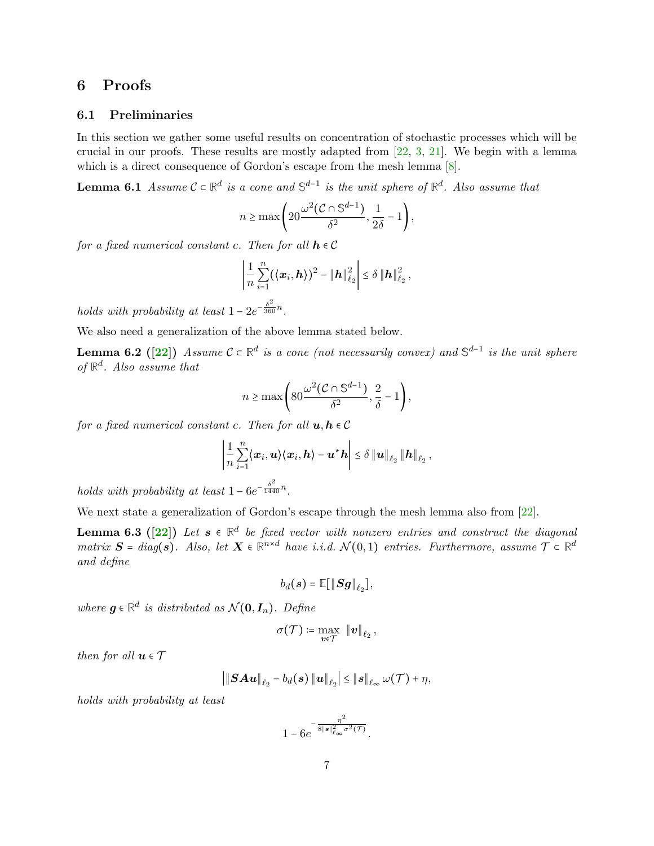## 6 Proofs

### 6.1 Preliminaries

In this section we gather some useful results on concentration of stochastic processes which will be crucial in our proofs. These results are mostly adapted from  $[22, 3, 21]$  $[22, 3, 21]$  $[22, 3, 21]$  $[22, 3, 21]$  $[22, 3, 21]$ . We begin with a lemma which is a direct consequence of Gordon's escape from the mesh lemma [\[8\]](#page-17-16).

**Lemma 6.1** Assume  $C \subset \mathbb{R}^d$  is a cone and  $\mathbb{S}^{d-1}$  is the unit sphere of  $\mathbb{R}^d$ . Also assume that

<span id="page-6-2"></span>
$$
n \ge \max\left(20\frac{\omega^2(\mathcal{C} \cap \mathbb{S}^{d-1})}{\delta^2}, \frac{1}{2\delta} - 1\right),\,
$$

for a fixed numerical constant c. Then for all  $h \in \mathcal{C}$ 

$$
\left|\frac{1}{n}\sum_{i=1}^n (\langle x_i, h \rangle)^2 - ||h||_{\ell_2}^2\right| \leq \delta ||h||_{\ell_2}^2,
$$

holds with probability at least  $1 - 2e^{-\frac{\delta^2}{360}n}$ .

We also need a generalization of the above lemma stated below.

**Lemma 6.2** ([\[22\]](#page-18-0)) Assume  $C \subset \mathbb{R}^d$  is a cone (not necessarily convex) and  $\mathbb{S}^{d-1}$  is the unit sphere of  $\mathbb{R}^d$ . Also assume that

<span id="page-6-0"></span>
$$
n \ge \max\left(80 \frac{\omega^2 (\mathcal{C} \cap \mathbb{S}^{d-1})}{\delta^2}, \frac{2}{\delta} - 1\right),\,
$$

for a fixed numerical constant c. Then for all  $u, h \in \mathcal{C}$ 

$$
\left|\frac{1}{n}\sum_{i=1}^n\langle x_i,\boldsymbol{u}\rangle\langle x_i,\boldsymbol{h}\rangle-\boldsymbol{u}^*\boldsymbol{h}\right|\leq\delta\left\|\boldsymbol{u}\right\|_{\ell_2}\left\|\boldsymbol{h}\right\|_{\ell_2},
$$

holds with probability at least  $1 - 6e^{-\frac{\delta^2}{1440}n}$ .

We next state a generalization of Gordon's escape through the mesh lemma also from [\[22\]](#page-18-0).

**Lemma 6.3** ( $[22]$ ) Let  $s \in \mathbb{R}^d$  be fixed vector with nonzero entries and construct the diagonal  $matrix \ S = diag(s)$ . Also, let  $X \in \mathbb{R}^{n \times d}$  have i.i.d.  $\mathcal{N}(0,1)$  entries. Furthermore, assume  $\mathcal{T} \subset \mathbb{R}^d$ and define

<span id="page-6-1"></span>
$$
b_d(\boldsymbol{s}) = \mathbb{E}[\|\boldsymbol{S}\boldsymbol{g}\|_{\ell_2}],
$$

where  $g \in \mathbb{R}^d$  is distributed as  $\mathcal{N}(\mathbf{0}, \mathbf{I}_n)$ . Define

$$
\sigma({\mathcal T}) \coloneqq \max_{{\bm v} \in {\mathcal T}} \: \left\| {\bm v} \right\|_{\ell_2},
$$

then for all  $u \in \mathcal{T}$ 

$$
\left|\left\|\bm{S}\bm{A}\bm{u}\right\|_{\ell_2}-b_d(\bm{s})\left\|\bm{u}\right\|_{\ell_2}\right|\leq\left\|\bm{s}\right\|_{\ell_{\infty}}\omega(\mathcal{T})+\eta,
$$

holds with probability at least

$$
1-6e^{-\frac{\eta^2}{8\|\boldsymbol{s}\|_{\ell_\infty}^2\sigma^2(\mathcal{T})}}.
$$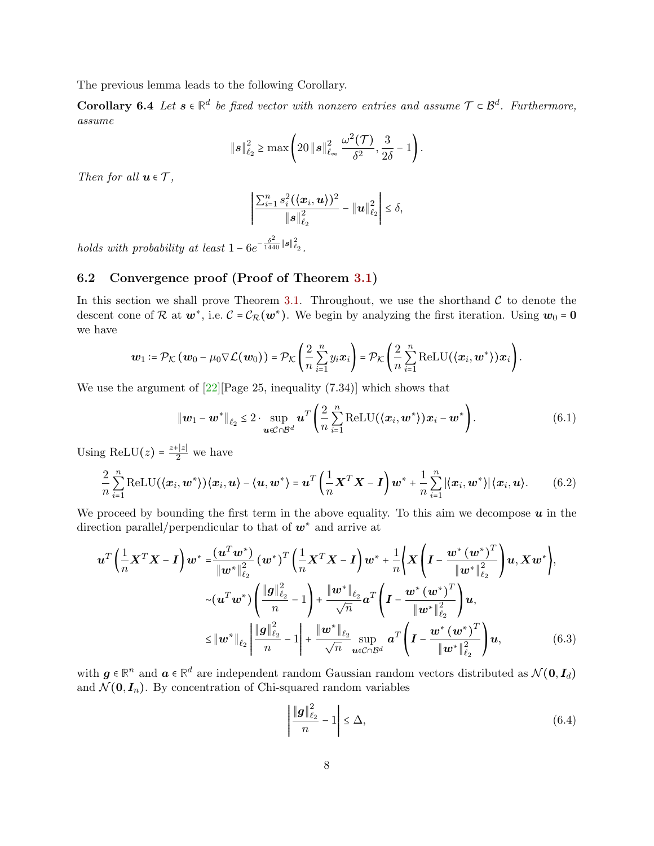The previous lemma leads to the following Corollary.

Corollary 6.4 Let  $s \in \mathbb{R}^d$  be fixed vector with nonzero entries and assume  $\mathcal{T} \subset \mathcal{B}^d$ . Furthermore, assume

$$
\|\boldsymbol{s}\|_{\ell_2}^2 \geq \max\left(20\|\boldsymbol{s}\|_{\ell_\infty}^2\,\frac{\omega^2(\mathcal{T})}{\delta^2},\frac{3}{2\delta}-1\right).
$$

Then for all  $u \in \mathcal{T}$ ,

<span id="page-7-3"></span>
$$
\left|\frac{\sum_{i=1}^{n} s_i^2(\langle x_i, u \rangle)^2}{\|s\|_{\ell_2}^2} - \|u\|_{\ell_2}^2\right| \leq \delta,
$$

holds with probability at least  $1 - 6e^{-\frac{\delta^2}{1440}||\mathbf{s}||^2_{\ell_2}}$ .

## 6.2 Convergence proof (Proof of Theorem [3.1\)](#page-2-4)

In this section we shall prove Theorem [3.1.](#page-2-4) Throughout, we use the shorthand  $\mathcal C$  to denote the descent cone of R at  $w^*$ , i.e.  $C = C_{\mathcal{R}}(w^*)$ . We begin by analyzing the first iteration. Using  $w_0 = 0$ we have

$$
\boldsymbol{w}_1 \coloneqq \mathcal{P}_{\mathcal{K}}\left(\boldsymbol{w}_0 - \mu_0 \nabla \mathcal{L}(\boldsymbol{w}_0)\right) = \mathcal{P}_{\mathcal{K}}\left(\frac{2}{n}\sum_{i=1}^n y_i \boldsymbol{x}_i\right) = \mathcal{P}_{\mathcal{K}}\left(\frac{2}{n}\sum_{i=1}^n \text{ReLU}(\langle \boldsymbol{x}_i, \boldsymbol{w}^*\rangle) \boldsymbol{x}_i\right).
$$

We use the argument of  $[22]$ [Page 25, inequality  $(7.34)$ ] which shows that

$$
\|\boldsymbol{w}_1 - \boldsymbol{w}^*\|_{\ell_2} \leq 2 \cdot \sup_{\boldsymbol{u} \in C \cap \mathcal{B}^d} \boldsymbol{u}^T \left( \frac{2}{n} \sum_{i=1}^n \text{ReLU}(\langle \boldsymbol{x}_i, \boldsymbol{w}^* \rangle) \boldsymbol{x}_i - \boldsymbol{w}^* \right). \tag{6.1}
$$

Using ReLU(z) =  $\frac{z+|z|}{2}$  $\frac{1}{2}$  we have

$$
\frac{2}{n}\sum_{i=1}^n \text{ReLU}(\langle \boldsymbol{x}_i, \boldsymbol{w}^* \rangle) \langle \boldsymbol{x}_i, \boldsymbol{u} \rangle - \langle \boldsymbol{u}, \boldsymbol{w}^* \rangle = \boldsymbol{u}^T \left( \frac{1}{n} \boldsymbol{X}^T \boldsymbol{X} - \boldsymbol{I} \right) \boldsymbol{w}^* + \frac{1}{n}\sum_{i=1}^n |\langle \boldsymbol{x}_i, \boldsymbol{w}^* \rangle| \langle \boldsymbol{x}_i, \boldsymbol{u} \rangle. \tag{6.2}
$$

We proceed by bounding the first term in the above equality. To this aim we decompose  $\boldsymbol{u}$  in the direction parallel/perpendicular to that of  $w^*$  and arrive at

$$
\boldsymbol{u}^{T}\left(\frac{1}{n}\boldsymbol{X}^{T}\boldsymbol{X}-\boldsymbol{I}\right)\boldsymbol{w}^{*}=\frac{(\boldsymbol{u}^{T}\boldsymbol{w}^{*})}{\|\boldsymbol{w}^{*}\|_{\ell_{2}}^{2}}(\boldsymbol{w}^{*})^{T}\left(\frac{1}{n}\boldsymbol{X}^{T}\boldsymbol{X}-\boldsymbol{I}\right)\boldsymbol{w}^{*}+\frac{1}{n}\bigg\{\boldsymbol{X}\left(\boldsymbol{I}-\frac{\boldsymbol{w}^{*}(\boldsymbol{w}^{*})^{T}}{\|\boldsymbol{w}^{*}\|_{\ell_{2}}^{2}}\right)\boldsymbol{u},\boldsymbol{X}\boldsymbol{w}^{*}\bigg\},
$$

$$
\sim(\boldsymbol{u}^{T}\boldsymbol{w}^{*})\left(\frac{\|\boldsymbol{g}\|_{\ell_{2}}^{2}}{n}-1\right)+\frac{\|\boldsymbol{w}^{*}\|_{\ell_{2}}}{\sqrt{n}}\boldsymbol{a}^{T}\left(\boldsymbol{I}-\frac{\boldsymbol{w}^{*}(\boldsymbol{w}^{*})^{T}}{\|\boldsymbol{w}^{*}\|_{\ell_{2}}^{2}}\right)\boldsymbol{u},
$$

$$
\leq \|\boldsymbol{w}^{*}\|_{\ell_{2}}\left|\frac{\|\boldsymbol{g}\|_{\ell_{2}}^{2}}{n}-1\right|+\frac{\|\boldsymbol{w}^{*}\|_{\ell_{2}}}{\sqrt{n}}\sup_{\boldsymbol{u}\in\mathcal{C}\cap\mathcal{B}^{d}}\boldsymbol{a}^{T}\left(\boldsymbol{I}-\frac{\boldsymbol{w}^{*}(\boldsymbol{w}^{*})^{T}}{\|\boldsymbol{w}^{*}\|_{\ell_{2}}^{2}}\right)\boldsymbol{u}, \tag{6.3}
$$

with  $g \in \mathbb{R}^n$  and  $a \in \mathbb{R}^d$  are independent random Gaussian random vectors distributed as  $\mathcal{N}(0, I_d)$ and  $\mathcal{N}(\mathbf{0}, \mathbf{I}_n)$ . By concentration of Chi-squared random variables

<span id="page-7-2"></span><span id="page-7-1"></span><span id="page-7-0"></span>
$$
\left| \frac{\|\mathbf{g}\|_{\ell_2}^2}{n} - 1 \right| \le \Delta,\tag{6.4}
$$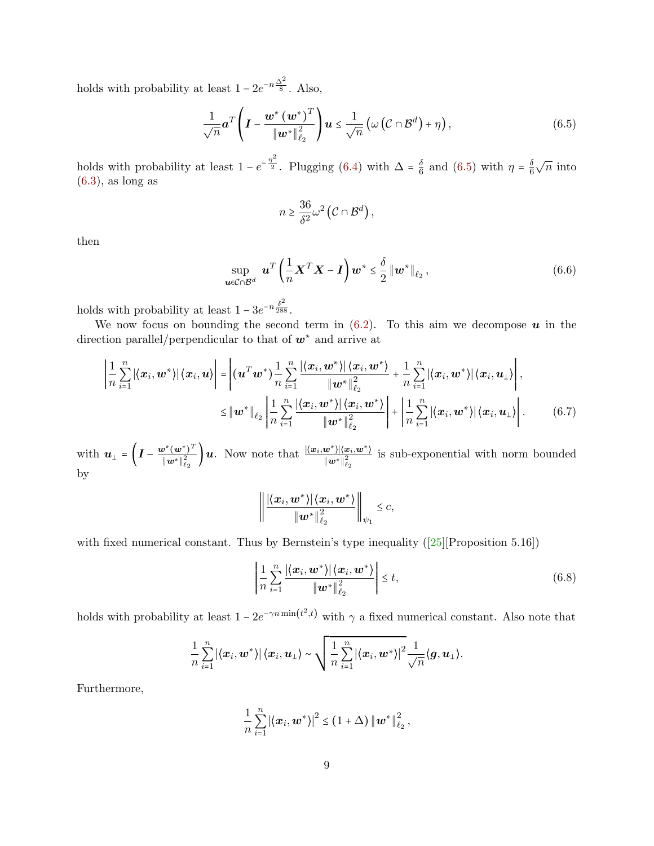holds with probability at least  $1 - 2e^{-n\frac{\Delta^2}{8}}$ . Also,

$$
\frac{1}{\sqrt{n}}\boldsymbol{a}^T\left(\boldsymbol{I}-\frac{\boldsymbol{w}^*\left(\boldsymbol{w}^*\right)^T}{\|\boldsymbol{w}^*\|_{\ell_2}^2}\right)\boldsymbol{u}\leq \frac{1}{\sqrt{n}}\left(\omega\left(\mathcal{C}\cap\mathcal{B}^d\right)+\eta\right),\tag{6.5}
$$

holds with probability at least  $1 - e^{-\frac{\eta^2}{2}}$ . Plugging [\(6.4\)](#page-7-0) with  $\Delta = \frac{\delta}{6}$  $\frac{\delta}{6}$  and [\(6.5\)](#page-8-0) with  $\eta = \frac{\delta}{6}$ 6  $\sqrt{n}$  into  $(6.3)$ , as long as

<span id="page-8-3"></span><span id="page-8-0"></span>
$$
n \geq \frac{36}{\delta^2} \omega^2 \left( C \cap \mathcal{B}^d \right),\,
$$

then

$$
\sup_{\boldsymbol{u}\in\mathcal{C}\cap\mathcal{B}^d}\boldsymbol{u}^T\left(\frac{1}{n}\boldsymbol{X}^T\boldsymbol{X}-\boldsymbol{I}\right)\boldsymbol{w}^*\leq\frac{\delta}{2}\left\|\boldsymbol{w}^*\right\|_{\ell_2},\tag{6.6}
$$

holds with probability at least  $1 - 3e^{-n\frac{\delta^2}{288}}$ .

We now focus on bounding the second term in  $(6.2)$ . To this aim we decompose  $\boldsymbol{u}$  in the direction parallel/perpendicular to that of  $w^*$  and arrive at

$$
\left|\frac{1}{n}\sum_{i=1}^{n}|\langle x_i, \boldsymbol{w}^*\rangle|\langle x_i, \boldsymbol{u}\rangle\right| = \left|\langle \boldsymbol{u}^T\boldsymbol{w}^*\rangle\frac{1}{n}\sum_{i=1}^{n}\frac{|\langle x_i, \boldsymbol{w}^*\rangle|\langle x_i, \boldsymbol{w}^*\rangle}{\|\boldsymbol{w}^*\|_{\ell_2}^2} + \frac{1}{n}\sum_{i=1}^{n}|\langle x_i, \boldsymbol{w}^*\rangle|\langle x_i, \boldsymbol{u}_\perp\rangle\right|,
$$
  

$$
\leq \|\boldsymbol{w}^*\|_{\ell_2} \left|\frac{1}{n}\sum_{i=1}^{n}\frac{|\langle x_i, \boldsymbol{w}^*\rangle|\langle x_i, \boldsymbol{w}^*\rangle}{\|\boldsymbol{w}^*\|_{\ell_2}^2}\right| + \left|\frac{1}{n}\sum_{i=1}^{n}|\langle x_i, \boldsymbol{w}^*\rangle|\langle x_i, \boldsymbol{u}_\perp\rangle\right|.
$$
 (6.7)

with  $\boldsymbol{u}_{\perp} = \left(\boldsymbol{I} - \frac{\boldsymbol{w}^*(\boldsymbol{w}^*)^T}{\|\boldsymbol{w}^*\|^2}\right)$  $\frac{d\mathbf{y}^*(\bm{w}^*)^T}{\|\bm{w}^*\|_{\ell_2}^2}\bigg)\bm{u}. \ \ \text{Now note that} \ \frac{|\langle \bm{x}_i, \bm{w}^* \rangle| \langle \bm{x}_i, \bm{w}^* \rangle|}{\|\bm{w}^*\|_{\ell_2}^2}$  $\overline{\|\boldsymbol{w}^*\|_{\ell_2}^2}$ is sub-exponential with norm bounded by

<span id="page-8-2"></span>
$$
\left\|\frac{\left|\left\langle\boldsymbol{x}_{i},\boldsymbol{w}^{*}\right\rangle\right|\left\langle\boldsymbol{x}_{i},\boldsymbol{w}^{*}\right\rangle}{\left\|\boldsymbol{w}^{*}\right\|_{\ell_{2}}^{2}}\right\|_{\psi_{1}}\leq c,
$$

with fixed numerical constant. Thus by Bernstein's type inequality ([\[25\]](#page-18-7)[Proposition 5.16])

<span id="page-8-1"></span>
$$
\left| \frac{1}{n} \sum_{i=1}^{n} \frac{|\langle x_i, \boldsymbol{w}^* \rangle| \langle x_i, \boldsymbol{w}^* \rangle}{\|\boldsymbol{w}^*\|_{\ell_2}^2} \right| \leq t,
$$
\n(6.8)

holds with probability at least  $1 - 2e^{-\gamma n \min(t^2, t)}$  with  $\gamma$  a fixed numerical constant. Also note that

$$
\frac{1}{n}\sum_{i=1}^n\left|\left\langle \bm{x}_i,\bm{w}^{\star}\right\rangle\right|\left\langle \bm{x}_i,\bm{u}_{\perp}\right\rangle\sim\sqrt{\frac{1}{n}\sum_{i=1}^n\left|\left\langle \bm{x}_i,\bm{w}^{\star}\right\rangle\right|^2\frac{1}{\sqrt{n}}\langle\bm{g},\bm{u}_{\perp}\rangle}.
$$

Furthermore,

$$
\frac{1}{n}\sum_{i=1}^n \left|\left\langle \boldsymbol{x}_i, \boldsymbol{w}^*\right\rangle\right|^2 \leq (1+\Delta) \left\|\boldsymbol{w}^*\right\|_{\ell_2}^2,
$$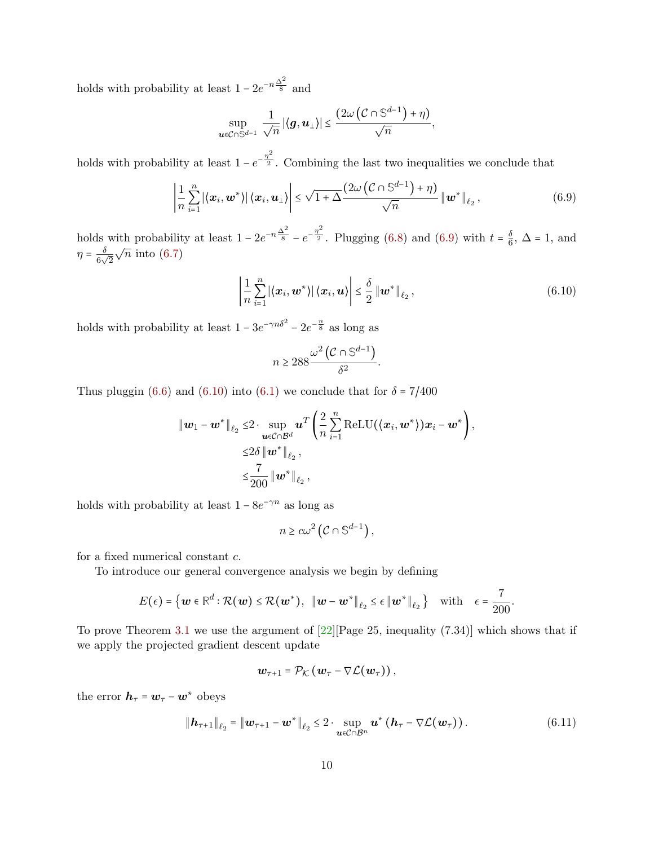holds with probability at least  $1 - 2e^{-n\frac{\Delta^2}{8}}$  and

$$
\sup_{\boldsymbol{u}\in\mathcal{C}\cap\mathbb{S}^{d-1}}\frac{1}{\sqrt{n}}\left|\left\langle \boldsymbol{g},\boldsymbol{u}_{\perp}\right\rangle \right|\leq\frac{\left(2\omega\left(\mathcal{C}\cap\mathbb{S}^{d-1}\right)+\eta\right)}{\sqrt{n}},
$$

holds with probability at least  $1 - e^{-\frac{\eta^2}{2}}$ . Combining the last two inequalities we conclude that

$$
\left|\frac{1}{n}\sum_{i=1}^{n}\left|\left\langle\boldsymbol{x}_{i},\boldsymbol{w}^{*}\right\rangle\right|\left\langle\boldsymbol{x}_{i},\boldsymbol{u}_{\perp}\right\rangle\right| \leq \sqrt{1+\Delta} \frac{\left(2\omega\left(\mathcal{C}\cap\mathbb{S}^{d-1}\right)+\eta\right)}{\sqrt{n}}\left\|\boldsymbol{w}^{*}\right\|_{\ell_{2}},\tag{6.9}
$$

<span id="page-9-1"></span><span id="page-9-0"></span>.

holds with probability at least  $1 - 2e^{-n\frac{\Delta^2}{8}} - e^{-\frac{\eta^2}{2}}$ . Plugging [\(6.8\)](#page-8-1) and [\(6.9\)](#page-9-0) with  $t = \frac{\delta}{6}$  $\frac{0}{6}$ ,  $\Delta$  = 1, and  $\eta = \frac{\delta}{6}$  $rac{0}{6\sqrt{2}}$  $\sqrt{n}$  into [\(6.7\)](#page-8-2)

$$
\left|\frac{1}{n}\sum_{i=1}^{n}\left|\left\langle\boldsymbol{x}_{i},\boldsymbol{w}^{*}\right\rangle\right|\left\langle\boldsymbol{x}_{i},\boldsymbol{u}\right\rangle\right| \leq \frac{\delta}{2}\left\|\boldsymbol{w}^{*}\right\|_{\ell_{2}},\tag{6.10}
$$

holds with probability at least  $1 - 3e^{-\gamma n \delta^2} - 2e^{-\frac{n}{8}}$  as long as

$$
n \ge 288 \frac{\omega^2 \left(\mathcal{C} \cap \mathbb{S}^{d-1}\right)}{\delta^2}
$$

Thus pluggin [\(6.6\)](#page-8-3) and [\(6.10\)](#page-9-1) into [\(6.1\)](#page-7-3) we conclude that for  $\delta = 7/400$ 

$$
\|\boldsymbol{w}_1 - \boldsymbol{w}^*\|_{\ell_2} \leq 2 \cdot \sup_{\boldsymbol{u} \in \mathcal{C} \cap \mathcal{B}^d} \boldsymbol{u}^T \bigg( \frac{2}{n} \sum_{i=1}^n \mathrm{ReLU}(\langle \boldsymbol{x}_i, \boldsymbol{w}^* \rangle) \boldsymbol{x}_i - \boldsymbol{w}^* \bigg),
$$
  

$$
\leq 2\delta \|\boldsymbol{w}^*\|_{\ell_2},
$$
  

$$
\leq \frac{7}{200} \|\boldsymbol{w}^*\|_{\ell_2},
$$

holds with probability at least  $1 - 8e^{-\gamma n}$  as long as

$$
n \geq c\omega^2 \left( C \cap \mathbb{S}^{d-1} \right),
$$

for a fixed numerical constant c.

To introduce our general convergence analysis we begin by defining

$$
E(\epsilon)=\left\{\boldsymbol{w}\in\mathbb{R}^d:\mathcal{R}(\boldsymbol{w})\leq\mathcal{R}(\boldsymbol{w}^*),\;\;\|\boldsymbol{w}-\boldsymbol{w}^*\|_{\ell_2}\leq\epsilon\,\|\boldsymbol{w}^*\|_{\ell_2}\,\right\}\quad\text{with}\quad\epsilon=\frac{7}{200}.
$$

To prove Theorem [3.1](#page-2-4) we use the argument of  $[22]$ [Page 25, inequality (7.34)] which shows that if we apply the projected gradient descent update

<span id="page-9-2"></span>
$$
\boldsymbol{w}_{\tau+1} = \mathcal{P}_{\mathcal{K}}\left(\boldsymbol{w}_{\tau} - \nabla \mathcal{L}(\boldsymbol{w}_{\tau})\right),
$$

the error  $\boldsymbol{h}_{\tau} = \boldsymbol{w}_{\tau} - \boldsymbol{w}^*$  obeys

$$
\|\boldsymbol{h}_{\tau+1}\|_{\ell_2} = \|\boldsymbol{w}_{\tau+1} - \boldsymbol{w}^*\|_{\ell_2} \leq 2 \cdot \sup_{\boldsymbol{u} \in \mathcal{C} \cap \mathcal{B}^n} \boldsymbol{u}^* \left(\boldsymbol{h}_{\tau} - \nabla \mathcal{L}(\boldsymbol{w}_{\tau})\right). \tag{6.11}
$$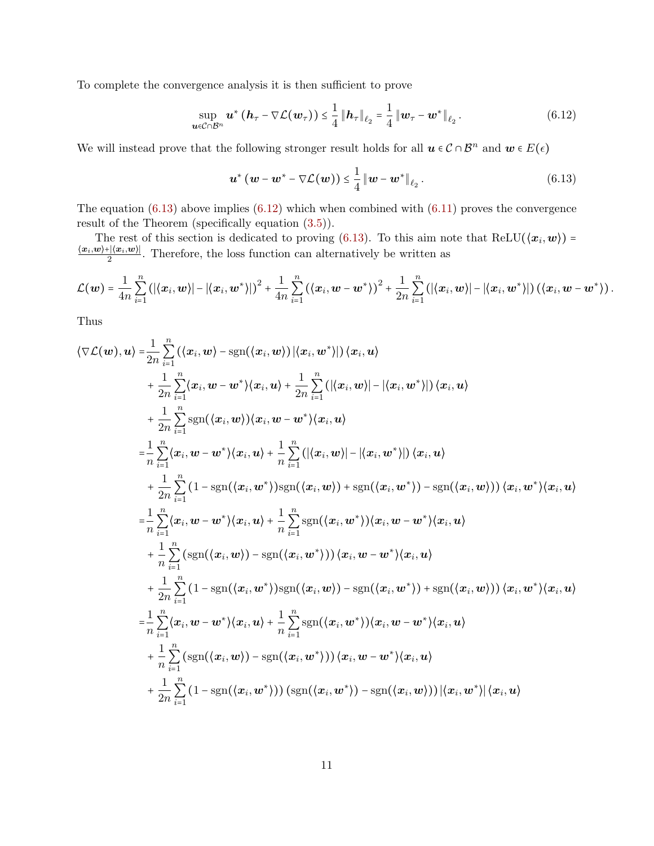To complete the convergence analysis it is then sufficient to prove

$$
\sup_{\boldsymbol{u}\in\mathcal{C}\cap\mathcal{B}^n}\boldsymbol{u}^*\left(\boldsymbol{h}_{\tau}-\nabla\mathcal{L}(\boldsymbol{w}_{\tau})\right)\leq\frac{1}{4}\left\Vert \boldsymbol{h}_{\tau}\right\Vert _{\ell_2}=\frac{1}{4}\left\Vert \boldsymbol{w}_{\tau}-\boldsymbol{w}^*\right\Vert _{\ell_2}.\tag{6.12}
$$

We will instead prove that the following stronger result holds for all  $u \in C \cap \mathcal{B}^n$  and  $w \in E(\epsilon)$ 

<span id="page-10-1"></span><span id="page-10-0"></span>
$$
\boldsymbol{u}^{\ast}\left(\boldsymbol{w}-\boldsymbol{w}^{\ast}-\nabla\mathcal{L}(\boldsymbol{w})\right)\leq\frac{1}{4}\left\Vert \boldsymbol{w}-\boldsymbol{w}^{\ast}\right\Vert _{\ell_{2}}.\tag{6.13}
$$

The equation  $(6.13)$  above implies  $(6.12)$  which when combined with  $(6.11)$  proves the convergence result of the Theorem (specifically equation [\(3.5\)](#page-3-1)).

The rest of this section is dedicated to proving [\(6.13\)](#page-10-0). To this aim note that  $ReLU(\langle x_i, w \rangle) =$  $\langle x_i, \hspace{-0.2em}w \rangle$ + $|\langle x_i, \hspace{-0.2em}w \rangle|$  $\frac{\mathbb{E}[(x_i, w)]}{2}$ . Therefore, the loss function can alternatively be written as

$$
\mathcal{L}(\boldsymbol{w})=\frac{1}{4n}\sum_{i=1}^n\left(\left|\left\langle \boldsymbol{x}_i, \boldsymbol{w} \right\rangle\right| - \left|\left\langle \boldsymbol{x}_i, \boldsymbol{w}^*\right\rangle\right|\right)^2 + \frac{1}{4n}\sum_{i=1}^n\left(\left\langle \boldsymbol{x}_i, \boldsymbol{w}-\boldsymbol{w}^*\right\rangle\right)^2 + \frac{1}{2n}\sum_{i=1}^n\left(\left|\left\langle \boldsymbol{x}_i, \boldsymbol{w} \right\rangle\right| - \left|\left\langle \boldsymbol{x}_i, \boldsymbol{w}^*\right\rangle\right|\right)\left(\left\langle \boldsymbol{x}_i, \boldsymbol{w}-\boldsymbol{w}^*\right\rangle\right).
$$

Thus

$$
\langle \nabla \mathcal{L}(\boldsymbol{w}), \boldsymbol{u} \rangle = \frac{1}{2n} \sum_{i=1}^{n} (\langle x_i, \boldsymbol{w} \rangle - \text{sgn}(\langle x_i, \boldsymbol{w} \rangle) | \langle x_i, \boldsymbol{w}^* \rangle | ) \langle x_i, \boldsymbol{u} \rangle + \frac{1}{2n} \sum_{i=1}^{n} \langle x_i, \boldsymbol{w} - \boldsymbol{w}^* \rangle \langle x_i, \boldsymbol{u} \rangle + \frac{1}{2n} \sum_{i=1}^{n} (\langle (x_i, \boldsymbol{w}) \rangle - |\langle x_i, \boldsymbol{w}^* \rangle|) \langle x_i, \boldsymbol{u} \rangle + \frac{1}{2n} \sum_{i=1}^{n} \text{sgn}(\langle x_i, \boldsymbol{w} \rangle) \langle x_i, \boldsymbol{w} - \boldsymbol{w}^* \rangle \langle x_i, \boldsymbol{u} \rangle = \frac{1}{n} \sum_{i=1}^{n} \langle x_i, \boldsymbol{w} - \boldsymbol{w}^* \rangle \langle x_i, \boldsymbol{u} \rangle + \frac{1}{n} \sum_{i=1}^{n} (\langle (x_i, \boldsymbol{w}) \rangle - |\langle x_i, \boldsymbol{w}^* \rangle|) \langle x_i, \boldsymbol{u} \rangle + \frac{1}{2n} \sum_{i=1}^{n} (1 - \text{sgn}(\langle x_i, \boldsymbol{w}^* \rangle) \text{sgn}(\langle x_i, \boldsymbol{w} \rangle) + \text{sgn}(\langle x_i, \boldsymbol{w}^* \rangle) - \text{sgn}(\langle x_i, \boldsymbol{w} \rangle)) \langle x_i, \boldsymbol{w} \rangle \langle x_i, \boldsymbol{u} \rangle = \frac{1}{n} \sum_{i=1}^{n} \langle x_i, \boldsymbol{w} - \boldsymbol{w}^* \rangle \langle x_i, \boldsymbol{u} \rangle + \frac{1}{n} \sum_{i=1}^{n} \text{sgn}(\langle x_i, \boldsymbol{w}^* \rangle) \langle x_i, \boldsymbol{w} - \boldsymbol{w}^* \rangle \langle x_i, \boldsymbol{u} \rangle + \frac{1}{n} \sum_{i=1}^{n} (\text{sgn}(\langle x_i, \boldsymbol{w} \rangle) - \text{sgn}(\langle x_i, \boldsymbol{w}^* \rangle)) \langle x_i, \bold
$$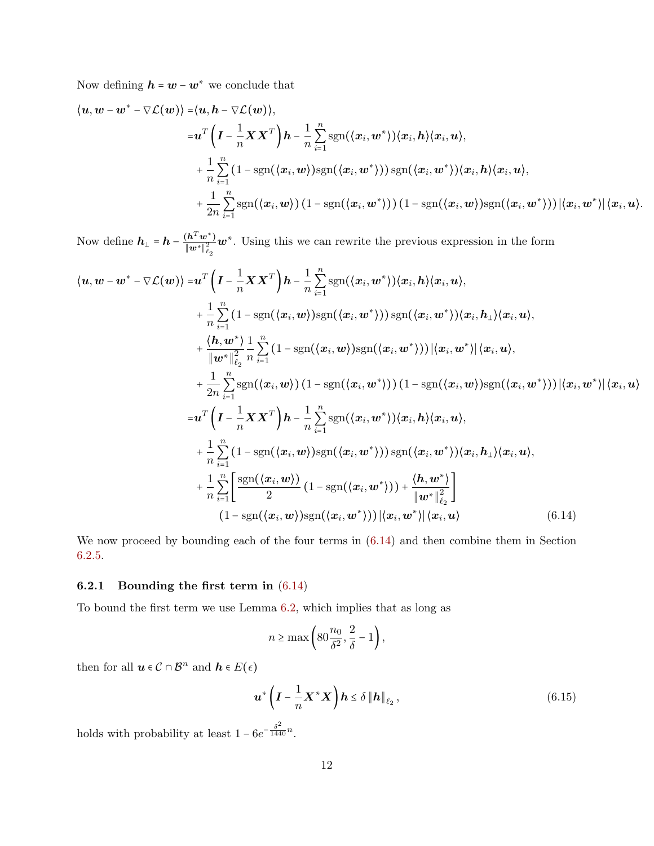Now defining  $\boldsymbol{h} = \boldsymbol{w} - \boldsymbol{w}^*$  we conclude that

$$
\langle \boldsymbol{u}, \boldsymbol{w}-\boldsymbol{w}^*-\nabla \mathcal{L}(\boldsymbol{w}) \rangle = \langle \boldsymbol{u}, \boldsymbol{h}-\nabla \mathcal{L}(\boldsymbol{w}) \rangle, \n= \boldsymbol{u}^T \left( \boldsymbol{I} - \frac{1}{n} \boldsymbol{X} \boldsymbol{X}^T \right) \boldsymbol{h} - \frac{1}{n} \sum_{i=1}^n \mathrm{sgn}(\langle \boldsymbol{x}_i, \boldsymbol{w}^* \rangle) \langle \boldsymbol{x}_i, \boldsymbol{h} \rangle \langle \boldsymbol{x}_i, \boldsymbol{u} \rangle, \n+ \frac{1}{n} \sum_{i=1}^n (1 - \mathrm{sgn}(\langle \boldsymbol{x}_i, \boldsymbol{w} \rangle) \mathrm{sgn}(\langle \boldsymbol{x}_i, \boldsymbol{w}^* \rangle)) \mathrm{sgn}(\langle \boldsymbol{x}_i, \boldsymbol{w}^* \rangle) \langle \boldsymbol{x}_i, \boldsymbol{h} \rangle \langle \boldsymbol{x}_i, \boldsymbol{u} \rangle, \n+ \frac{1}{2n} \sum_{i=1}^n \mathrm{sgn}(\langle \boldsymbol{x}_i, \boldsymbol{w} \rangle) (1 - \mathrm{sgn}(\langle \boldsymbol{x}_i, \boldsymbol{w}^* \rangle)) (1 - \mathrm{sgn}(\langle \boldsymbol{x}_i, \boldsymbol{w} \rangle)) \langle \boldsymbol{x}_i, \boldsymbol{w}^* \rangle) \langle \boldsymbol{x}_i, \boldsymbol{w}^* \rangle | \langle \boldsymbol{x}_i, \boldsymbol{u} \rangle.
$$

Now define  $h_{\perp} = h - \frac{(h^T w^*)}{\|w^*\|^2}$  $\|\pmb{w}^*\|_{\ell_2}^2$  $w^*$ . Using this we can rewrite the previous expression in the form

$$
\langle \mathbf{u}, \mathbf{w} - \mathbf{w}^* - \nabla \mathcal{L}(\mathbf{w}) \rangle = \mathbf{u}^T \Big( \mathbf{I} - \frac{1}{n} \mathbf{X} \mathbf{X}^T \Big) \mathbf{h} - \frac{1}{n} \sum_{i=1}^n \text{sgn}(\langle \mathbf{x}_i, \mathbf{w}^* \rangle) \langle \mathbf{x}_i, \mathbf{h} \rangle \langle \mathbf{x}_i, \mathbf{u} \rangle, \n+ \frac{1}{n} \sum_{i=1}^n (1 - \text{sgn}(\langle \mathbf{x}_i, \mathbf{w}^* \rangle)) \text{sgn}(\langle \mathbf{x}_i, \mathbf{w}^* \rangle)) \text{sgn}(\langle \mathbf{x}_i, \mathbf{w}^* \rangle) \langle \mathbf{x}_i, \mathbf{h}_\perp \rangle \langle \mathbf{x}_i, \mathbf{u} \rangle, \n+ \frac{\langle \mathbf{h}, \mathbf{w}^* \rangle}{\|\mathbf{w}^* \|_{\ell_2}^2} \frac{1}{n} \sum_{i=1}^n (1 - \text{sgn}(\langle \mathbf{x}_i, \mathbf{w} \rangle)) \text{sgn}(\langle \mathbf{x}_i, \mathbf{w}^* \rangle)) |\langle \mathbf{x}_i, \mathbf{w}^* \rangle| \langle \mathbf{x}_i, \mathbf{u} \rangle, \n+ \frac{1}{2n} \sum_{i=1}^n \text{sgn}(\langle \mathbf{x}_i, \mathbf{w} \rangle) (1 - \text{sgn}(\langle \mathbf{x}_i, \mathbf{w}^* \rangle))) |\langle \mathbf{x}_i, \mathbf{w}^* \rangle| \langle \mathbf{x}_i, \mathbf{u} \rangle, \n+ \frac{1}{2n} \sum_{i=1}^n \text{sgn}(\langle \mathbf{x}_i, \mathbf{w} \rangle) \mathbf{h} - \frac{1}{n} \sum_{i=1}^n \text{sgn}(\langle \mathbf{x}_i, \mathbf{w}^* \rangle) \langle \mathbf{x}_i, \mathbf{h} \rangle \langle \mathbf{x}_i, \mathbf{u} \rangle, \n+ \frac{1}{n} \sum_{i=1}^n (1 - \text{sgn}(\langle \mathbf{x}_i, \mathbf{w} \rangle)) \text{sgn}(\
$$

We now proceed by bounding each of the four terms in [\(6.14\)](#page-11-0) and then combine them in Section [6.2.5.](#page-16-1)

#### 6.2.1 Bounding the first term in [\(6.14\)](#page-11-0)

To bound the first term we use Lemma [6.2,](#page-6-0) which implies that as long as

<span id="page-11-1"></span><span id="page-11-0"></span>
$$
n \ge \max\left(80\frac{n_0}{\delta^2}, \frac{2}{\delta} - 1\right),\
$$

then for all  $u \in \mathcal{C} \cap \mathcal{B}^n$  and  $h \in E(\epsilon)$ 

$$
\boldsymbol{u}^* \left( \boldsymbol{I} - \frac{1}{n} \boldsymbol{X}^* \boldsymbol{X} \right) \boldsymbol{h} \le \delta \left\| \boldsymbol{h} \right\|_{\ell_2},\tag{6.15}
$$

holds with probability at least  $1 - 6e^{-\frac{\delta^2}{1440}n}$ .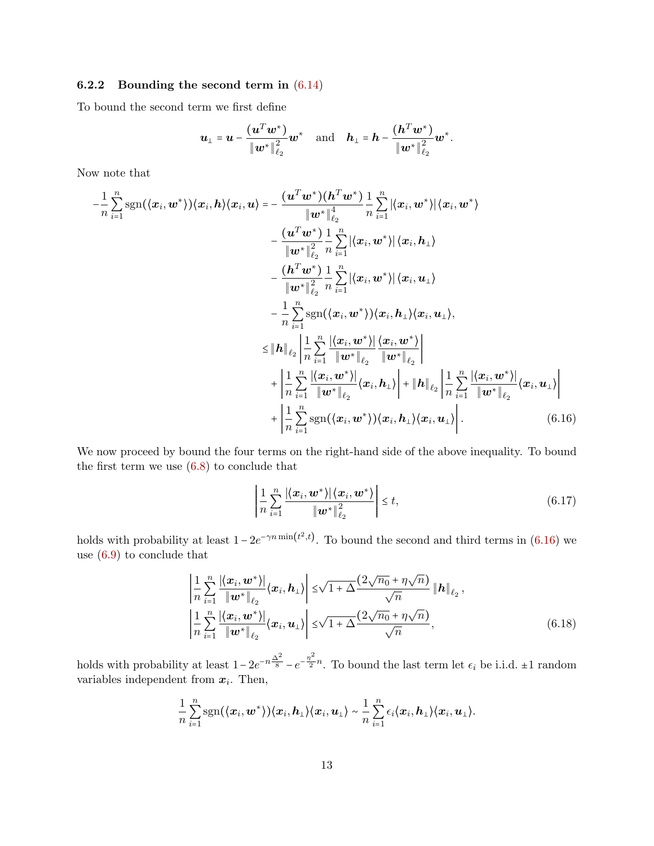### 6.2.2 Bounding the second term in [\(6.14\)](#page-11-0)

To bound the second term we first define

$$
\boldsymbol{u}_{\perp} = \boldsymbol{u} - \frac{(\boldsymbol{u}^T \boldsymbol{w}^*)}{\|\boldsymbol{w}^*\|_{\ell_2}^2} \boldsymbol{w}^* \quad \text{and} \quad \boldsymbol{h}_{\perp} = \boldsymbol{h} - \frac{(\boldsymbol{h}^T \boldsymbol{w}^*)}{\|\boldsymbol{w}^*\|_{\ell_2}^2} \boldsymbol{w}^*.
$$

Now note that

$$
-\frac{1}{n}\sum_{i=1}^{n}\text{sgn}(\langle x_{i}, w^{*}\rangle)\langle x_{i}, h\rangle\langle x_{i}, u\rangle = -\frac{(u^{T}w^{*})(h^{T}w^{*})}{\|w^{*}\|_{\ell_{2}}^4} \frac{1}{n}\sum_{i=1}^{n}|\langle x_{i}, w^{*}\rangle|\langle x_{i}, w^{*}\rangle
$$

$$
-\frac{(u^{T}w^{*})}{\|w^{*}\|_{\ell_{2}}^2} \frac{1}{n}\sum_{i=1}^{n}|\langle x_{i}, w^{*}\rangle|\langle x_{i}, h_{\perp}\rangle
$$

$$
-\frac{(h^{T}w^{*})}{\|w^{*}\|_{\ell_{2}}^2} \frac{1}{n}\sum_{i=1}^{n}|\langle x_{i}, w^{*}\rangle|\langle x_{i}, u_{\perp}\rangle
$$

$$
-\frac{1}{n}\sum_{i=1}^{n}\text{sgn}(\langle x_{i}, w^{*}\rangle)\langle x_{i}, h_{\perp}\rangle\langle x_{i}, u_{\perp}\rangle,
$$

$$
\leq \|\mathbf{h}\|_{\ell_{2}} \left|\frac{1}{n}\sum_{i=1}^{n}\frac{|\langle x_{i}, w^{*}\rangle|}{\|w^{*}\|_{\ell_{2}}}\frac{\langle x_{i}, w^{*}\rangle}{\|w^{*}\|_{\ell_{2}}}\right|
$$

$$
+\left|\frac{1}{n}\sum_{i=1}^{n}\frac{|\langle x_{i}, w^{*}\rangle|}{\|w^{*}\|_{\ell_{2}}}\langle x_{i}, h_{\perp}\rangle\right| + \|\mathbf{h}\|_{\ell_{2}} \left|\frac{1}{n}\sum_{i=1}^{n}\frac{|\langle x_{i}, w^{*}\rangle|}{\|w^{*}\|_{\ell_{2}}}\langle x_{i}, u_{\perp}\rangle\right|
$$

$$
+\left|\frac{1}{n}\sum_{i=1}^{n}\text{sgn}(\langle x_{i}, w^{*}\rangle)\langle x_{i}, h_{\perp}\rangle\langle x_{i}, u_{\perp}\rangle\right|.
$$
(6.16)

We now proceed by bound the four terms on the right-hand side of the above inequality. To bound the first term we use [\(6.8\)](#page-8-1) to conclude that

<span id="page-12-2"></span><span id="page-12-1"></span><span id="page-12-0"></span>
$$
\left| \frac{1}{n} \sum_{i=1}^{n} \frac{|\langle \boldsymbol{x}_i, \boldsymbol{w}^* \rangle| \langle \boldsymbol{x}_i, \boldsymbol{w}^* \rangle}{\|\boldsymbol{w}^*\|_{\ell_2}^2} \right| \leq t,
$$
\n(6.17)

holds with probability at least  $1 - 2e^{-\gamma n \min(t^2, t)}$ . To bound the second and third terms in [\(6.16\)](#page-12-0) we use [\(6.9\)](#page-9-0) to conclude that

$$
\left| \frac{1}{n} \sum_{i=1}^{n} \frac{|\langle \boldsymbol{x}_i, \boldsymbol{w}^* \rangle|}{\|\boldsymbol{w}^*\|_{\ell_2}} \langle \boldsymbol{x}_i, \boldsymbol{h}_\perp \rangle \right| \leq \sqrt{1 + \Delta} \frac{(2\sqrt{n_0} + \eta \sqrt{n})}{\sqrt{n}} \| \boldsymbol{h} \|_{\ell_2},
$$
\n
$$
\left| \frac{1}{n} \sum_{i=1}^{n} \frac{|\langle \boldsymbol{x}_i, \boldsymbol{w}^* \rangle|}{\|\boldsymbol{w}^*\|_{\ell_2}} \langle \boldsymbol{x}_i, \boldsymbol{u}_\perp \rangle \right| \leq \sqrt{1 + \Delta} \frac{(2\sqrt{n_0} + \eta \sqrt{n})}{\sqrt{n}}, \tag{6.18}
$$

holds with probability at least  $1 - 2e^{-n\frac{\Delta^2}{8}} - e^{-\frac{\eta^2}{2}}$  $\frac{1}{2}$ <sup>n</sup>. To bound the last term let  $\epsilon_i$  be i.i.d.  $\pm 1$  random variables independent from  $x_i$ . Then,

$$
\frac{1}{n}\sum_{i=1}^n \mathrm{sgn}(\langle \boldsymbol{x}_i, \boldsymbol{w}^* \rangle) \langle \boldsymbol{x}_i, \boldsymbol{h}_{\perp} \rangle \langle \boldsymbol{x}_i, \boldsymbol{u}_{\perp} \rangle \sim \frac{1}{n}\sum_{i=1}^n \epsilon_i \langle \boldsymbol{x}_i, \boldsymbol{h}_{\perp} \rangle \langle \boldsymbol{x}_i, \boldsymbol{u}_{\perp} \rangle.
$$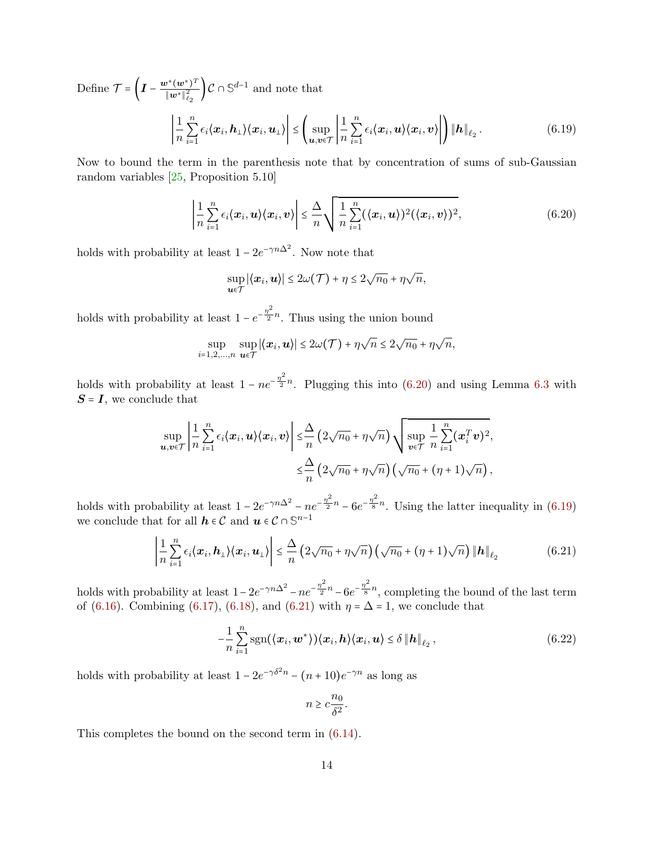Define  $\mathcal{T} = \left(I - \frac{\mathbf{w}^*(\mathbf{w}^*)^T}{\|\mathbf{w}^*\|^2}\right)$  $\left(\frac{\mathbf{w}^*\mathbf{w}^*}{\|\mathbf{w}^*\|_{\ell_2}^2}\right)$  C ∩ S<sup>d-1</sup> and note that ∣ 1 n n ∑  $i=1$  $\left| \epsilon_i \langle x_i, h_{\perp}\rangle\langle x_i, u_{\perp}\rangle\right| \leq \left(\sup_{\bm{u},\bm{v}\in\mathcal{T}} \bigg|\epsilon_i\langle x_i, \epsilon_i, u_{\perp}\rangle\bigg|,$ 1 n n ∑  $i=1$  $\left. \epsilon_{i}\langle x_{i},u\rangle \langle x_{i},v\rangle \right\vert \left. \right\vert \left. \left\Vert h\right\Vert _{\ell_{2}}$  $(6.19)$ 

Now to bound the term in the parenthesis note that by concentration of sums of sub-Gaussian random variables [\[25,](#page-18-7) Proposition 5.10]

$$
\left|\frac{1}{n}\sum_{i=1}^n \epsilon_i \langle x_i, \boldsymbol{u} \rangle \langle x_i, \boldsymbol{v} \rangle \right| \leq \frac{\Delta}{n} \sqrt{\frac{1}{n}\sum_{i=1}^n (\langle x_i, \boldsymbol{u} \rangle)^2 (\langle x_i, \boldsymbol{v} \rangle)^2}, \tag{6.20}
$$

holds with probability at least  $1 - 2e^{-\gamma n \Delta^2}$ . Now note that

<span id="page-13-1"></span><span id="page-13-0"></span>
$$
\sup_{\mathbf{u}\in\mathcal{T}}|\langle \mathbf{x}_i,\mathbf{u}\rangle|\leq 2\omega(\mathcal{T})+\eta\leq 2\sqrt{n_0}+\eta\sqrt{n},
$$

holds with probability at least  $1 - e^{-\frac{\eta^2}{2}}$  $\frac{1}{2}$ <sup>n</sup>. Thus using the union bound

$$
\sup_{i=1,2,\ldots,n} \sup_{\mathbf{u}\in\mathcal{T}} |\langle \mathbf{x}_i, \mathbf{u}\rangle| \leq 2\omega(\mathcal{T}) + \eta\sqrt{n} \leq 2\sqrt{n_0} + \eta\sqrt{n},
$$

holds with probability at least  $1 - ne^{-\frac{\eta^2}{2}}$  $\frac{1}{2}$ <sup>n</sup>. Plugging this into [\(6.20\)](#page-13-0) and using Lemma [6.3](#page-6-1) with  $S = I$ , we conclude that

$$
\sup_{\mathbf{u},\mathbf{v}\in\mathcal{T}}\left|\frac{1}{n}\sum_{i=1}^n\epsilon_i\langle\mathbf{x}_i,\mathbf{u}\rangle\langle\mathbf{x}_i,\mathbf{v}\rangle\right|\leq\frac{\Delta}{n}\left(2\sqrt{n_0}+\eta\sqrt{n}\right)\sqrt{\sup_{\mathbf{v}\in\mathcal{T}}\frac{1}{n}\sum_{i=1}^n(\mathbf{x}_i^T\mathbf{v})^2},\\ \leq\frac{\Delta}{n}\left(2\sqrt{n_0}+\eta\sqrt{n}\right)\left(\sqrt{n_0}+(\eta+1)\sqrt{n}\right),
$$

holds with probability at least  $1 - 2e^{-\gamma n \Delta^2} - n e^{-\frac{\eta^2}{2}}$  $\frac{\eta^2}{2}n - 6e^{-\frac{\eta^2}{8}}$  $\frac{1}{8}$ <sup>n</sup>. Using the latter inequality in [\(6.19\)](#page-13-1) we conclude that for all  $\boldsymbol{h}\in\mathcal{C}$  and  $\boldsymbol{u}\in\mathcal{C}\cap\mathbb{S}^{n-1}$ 

$$
\left|\frac{1}{n}\sum_{i=1}^{n}\epsilon_{i}\langle\boldsymbol{x}_{i},\boldsymbol{h}_{\perp}\rangle\langle\boldsymbol{x}_{i},\boldsymbol{u}_{\perp}\rangle\right| \leq \frac{\Delta}{n}\left(2\sqrt{n_{0}}+\eta\sqrt{n}\right)\left(\sqrt{n_{0}}+(\eta+1)\sqrt{n}\right)\left\|\boldsymbol{h}\right\|_{\ell_{2}}
$$
(6.21)

holds with probability at least  $1 - 2e^{-\gamma n \Delta^2} - n e^{-\frac{\eta^2}{2}}$  $\frac{\eta^2}{2}n - 6e^{-\frac{\eta^2}{8}}$  $\frac{1}{8}$ <sup>n</sup>, completing the bound of the last term of [\(6.16\)](#page-12-0). Combining [\(6.17\)](#page-12-1), [\(6.18\)](#page-12-2), and [\(6.21\)](#page-13-2) with  $\eta = \Delta = 1$ , we conclude that

$$
-\frac{1}{n}\sum_{i=1}^{n}\mathrm{sgn}(\langle \boldsymbol{x}_i, \boldsymbol{w}^* \rangle)\langle \boldsymbol{x}_i, \boldsymbol{h} \rangle \langle \boldsymbol{x}_i, \boldsymbol{u} \rangle \leq \delta \|\boldsymbol{h}\|_{\ell_2}, \qquad (6.22)
$$

holds with probability at least  $1 - 2e^{-\gamma \delta^2 n} - (n+10)e^{-\gamma n}$  as long as

<span id="page-13-3"></span><span id="page-13-2"></span>
$$
n \geq c \frac{n_0}{\delta^2}.
$$

This completes the bound on the second term in [\(6.14\)](#page-11-0).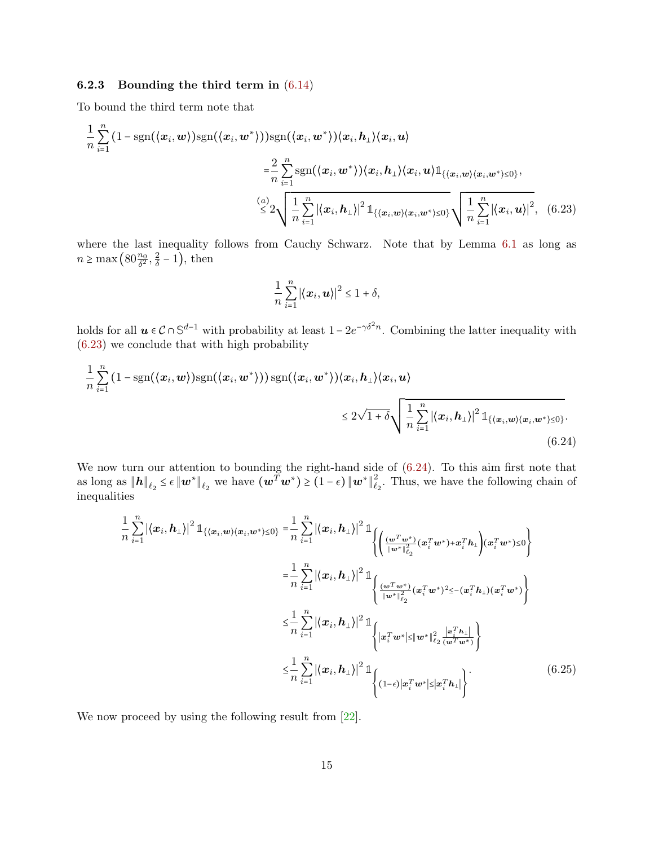### 6.2.3 Bounding the third term in [\(6.14\)](#page-11-0)

To bound the third term note that

$$
\frac{1}{n}\sum_{i=1}^{n} (1 - \text{sgn}(\langle x_i, w \rangle) \text{sgn}(\langle x_i, w^* \rangle)) \text{sgn}(\langle x_i, w^* \rangle) \langle x_i, h_1 \rangle \langle x_i, u \rangle
$$
\n
$$
= \frac{2}{n}\sum_{i=1}^{n} \text{sgn}(\langle x_i, w^* \rangle) \langle x_i, h_1 \rangle \langle x_i, u \rangle \mathbb{1}_{\{\langle x_i, w \rangle \langle x_i, w^* \rangle \leq 0\}},
$$
\n
$$
\stackrel{(a)}{\leq} 2 \sqrt{\frac{1}{n}\sum_{i=1}^{n} |\langle x_i, h_1 \rangle|^2 \mathbb{1}_{\{\langle x_i, w \rangle \langle x_i, w^* \rangle \leq 0\}}} \sqrt{\frac{1}{n}\sum_{i=1}^{n} |\langle x_i, u \rangle|^2}, \quad (6.23)
$$

where the last inequality follows from Cauchy Schwarz. Note that by Lemma [6.1](#page-6-2) as long as  $n \geq \max\left(80\frac{n_0}{\delta^2}, \frac{2}{\delta}\right)$  $\frac{2}{\delta}$  – 1), then

<span id="page-14-1"></span><span id="page-14-0"></span>
$$
\frac{1}{n}\sum_{i=1}^n |\langle \boldsymbol{x}_i, \boldsymbol{u}\rangle|^2 \leq 1+\delta,
$$

holds for all  $u \in C \cap \mathbb{S}^{d-1}$  with probability at least  $1 - 2e^{-\gamma \delta^2 n}$ . Combining the latter inequality with [\(6.23\)](#page-14-0) we conclude that with high probability

$$
\frac{1}{n}\sum_{i=1}^{n} (1 - \text{sgn}(\langle \boldsymbol{x}_i, \boldsymbol{w} \rangle) \text{sgn}(\langle \boldsymbol{x}_i, \boldsymbol{w}^* \rangle)) \text{sgn}(\langle \boldsymbol{x}_i, \boldsymbol{w}^* \rangle) \langle \boldsymbol{x}_i, \boldsymbol{h}_\perp \rangle \langle \boldsymbol{x}_i, \boldsymbol{u}_i \rangle
$$
\n
$$
\leq 2\sqrt{1+\delta} \sqrt{\frac{1}{n} \sum_{i=1}^{n} |\langle \boldsymbol{x}_i, \boldsymbol{h}_\perp \rangle|^2 \mathbb{1}_{\{ \langle \boldsymbol{x}_i, \boldsymbol{w} \rangle \langle \boldsymbol{x}_i, \boldsymbol{w}^* \rangle \leq 0 \}}}. \tag{6.24}
$$

We now turn our attention to bounding the right-hand side of  $(6.24)$ . To this aim first note that as long as  $\|\boldsymbol{h}\|_{\ell_2} \leq \epsilon \|\boldsymbol{w}^*\|_{\ell_2}$  we have  $(\boldsymbol{w}^T \boldsymbol{w}^*) \geq (1 - \epsilon) \|\boldsymbol{w}^*\|_{\ell_2}^2$  $\mathcal{L}_2^2$ . Thus, we have the following chain of inequalities

<span id="page-14-2"></span>
$$
\frac{1}{n} \sum_{i=1}^{n} | \langle \boldsymbol{x}_{i}, \boldsymbol{h}_{\perp} \rangle |^{2} \mathbb{1}_{\{ \langle \boldsymbol{x}_{i}, \boldsymbol{w} \rangle \langle \boldsymbol{x}_{i}, \boldsymbol{w}^{*} \rangle \leq 0 \}} = \frac{1}{n} \sum_{i=1}^{n} | \langle \boldsymbol{x}_{i}, \boldsymbol{h}_{\perp} \rangle |^{2} \mathbb{1}_{\left\{ \left( \frac{(\boldsymbol{w}^{T} \boldsymbol{w}^{*})}{\|\boldsymbol{w}^{*}\|_{\ell_{2}}^{2}} (\boldsymbol{x}_{i}^{T} \boldsymbol{w}^{*}) + \boldsymbol{x}_{i}^{T} \boldsymbol{h}_{\perp} \right) (\boldsymbol{x}_{i}^{T} \boldsymbol{w}^{*}) \leq 0 \right\}}
$$
\n
$$
= \frac{1}{n} \sum_{i=1}^{n} | \langle \boldsymbol{x}_{i}, \boldsymbol{h}_{\perp} \rangle |^{2} \mathbb{1}_{\left\{ \frac{(\boldsymbol{w}^{T} \boldsymbol{w}^{*})}{\|\boldsymbol{w}^{*}\|_{\ell_{2}}^{2}} (\boldsymbol{x}_{i}^{T} \boldsymbol{w}^{*})^{2} \leq -(\boldsymbol{x}_{i}^{T} \boldsymbol{h}_{\perp}) (\boldsymbol{x}_{i}^{T} \boldsymbol{w}^{*}) \right\}}
$$
\n
$$
\leq \frac{1}{n} \sum_{i=1}^{n} | \langle \boldsymbol{x}_{i}, \boldsymbol{h}_{\perp} \rangle |^{2} \mathbb{1}_{\left\{ \left| \boldsymbol{x}_{i}^{T} \boldsymbol{w}^{*} \right| \leq \|\boldsymbol{w}^{*}\|_{\ell_{2}}^{2} \frac{\left| \boldsymbol{x}_{i}^{T} \boldsymbol{h}_{\perp} \right|}{(\boldsymbol{w}^{T} \boldsymbol{w}^{*})} \right\}}
$$
\n
$$
\leq \frac{1}{n} \sum_{i=1}^{n} | \langle \boldsymbol{x}_{i}, \boldsymbol{h}_{\perp} \rangle |^{2} \mathbb{1}_{\left\{ (1-\epsilon) \left| \boldsymbol{x}_{i}^{T} \boldsymbol{w}^{*} \right| \leq \|\boldsymbol{x}_{i}^{T} \boldsymbol{h}_{\perp} \|\right\}} \qquad (6.25)
$$

We now proceed by using the following result from [\[22\]](#page-18-0).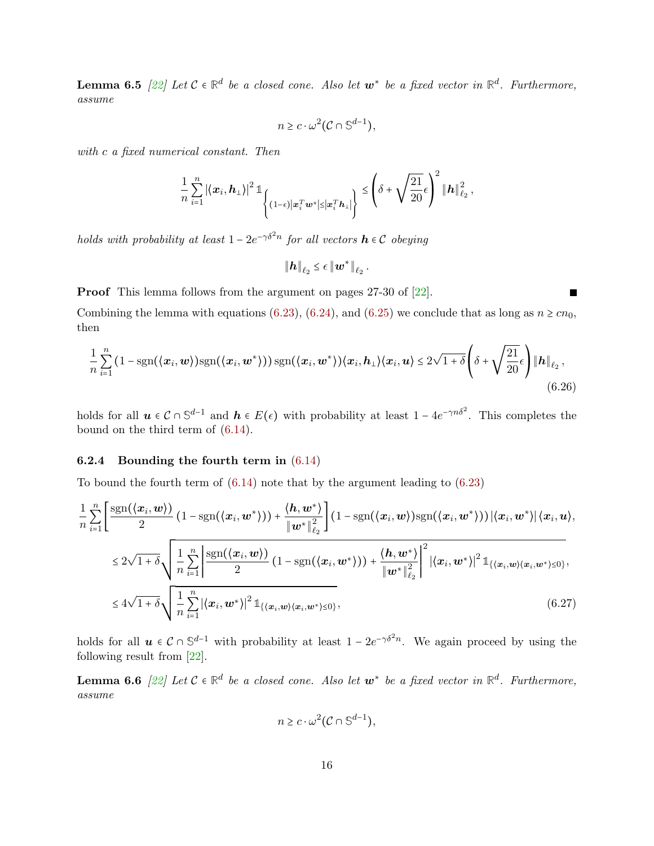**Lemma 6.5**  $[22]$  Let  $C \in \mathbb{R}^d$  be a closed cone. Also let  $w^*$  be a fixed vector in  $\mathbb{R}^d$ . Furthermore, assume

$$
n \geq c \cdot \omega^2 (\mathcal{C} \cap \mathbb{S}^{d-1}),
$$

with c a fixed numerical constant. Then

$$
\frac{1}{n}\sum_{i=1}^n |\langle x_i, h_\perp\rangle|^2 \mathbb{1}_{\left\{(1-\epsilon)|x_i^T w^*| \leq |x_i^T h_\perp|\right\}} \leq \left(\delta + \sqrt{\frac{21}{20}}\epsilon\right)^2 \|h\|_{\ell_2}^2,
$$

holds with probability at least  $1 - 2e^{-\gamma \delta^2 n}$  for all vectors  $\mathbf{h} \in \mathcal{C}$  obeying

<span id="page-15-1"></span>
$$
\left\Vert \boldsymbol{h}\right\Vert _{\ell_{2}}\leq\epsilon\left\Vert \boldsymbol{w}^{\ast}\right\Vert _{\ell_{2}}.
$$

Proof This lemma follows from the argument on pages 27-30 of [\[22\]](#page-18-0).

Combining the lemma with equations [\(6.23\)](#page-14-0), [\(6.24\)](#page-14-1), and [\(6.25\)](#page-14-2) we conclude that as long as  $n \geq cn_0$ . then

$$
\frac{1}{n}\sum_{i=1}^{n}\left(1-\text{sgn}(\langle\boldsymbol{x}_i,\boldsymbol{w}\rangle)\text{sgn}(\langle\boldsymbol{x}_i,\boldsymbol{w}^*\rangle)\right)\text{sgn}(\langle\boldsymbol{x}_i,\boldsymbol{w}^*\rangle)\langle\boldsymbol{x}_i,\boldsymbol{h}_\perp\rangle\langle\boldsymbol{x}_i,\boldsymbol{u}\rangle\leq 2\sqrt{1+\delta}\left(\delta+\sqrt{\frac{21}{20}}\epsilon\right)\|\boldsymbol{h}\|_{\ell_2},\tag{6.26}
$$

holds for all  $u \in C \cap \mathbb{S}^{d-1}$  and  $h \in E(\epsilon)$  with probability at least  $1 - 4e^{-\gamma n \delta^2}$ . This completes the bound on the third term of [\(6.14\)](#page-11-0).

### 6.2.4 Bounding the fourth term in [\(6.14\)](#page-11-0)

To bound the fourth term of [\(6.14\)](#page-11-0) note that by the argument leading to [\(6.23\)](#page-14-0)

$$
\frac{1}{n}\sum_{i=1}^{n}\left[\frac{\text{sgn}(\langle x_i, w \rangle)}{2}\left(1-\text{sgn}(\langle x_i, w^* \rangle)\right)+\frac{\langle h, w^* \rangle}{\|w^*\|_{\ell_2}^2}\right](1-\text{sgn}(\langle x_i, w \rangle)\text{sgn}(\langle x_i, w^* \rangle))|\langle x_i, w^* \rangle|\langle x_i, u \rangle,\leq 2\sqrt{1+\delta}\sqrt{\frac{1}{n}\sum_{i=1}^{n}\left|\frac{\text{sgn}(\langle x_i, w \rangle)}{2}\left(1-\text{sgn}(\langle x_i, w^* \rangle)\right)+\frac{\langle h, w^* \rangle}{\|w^*\|_{\ell_2}^2}\right|^2|\langle x_i, w^* \rangle|^2\mathbb{1}_{\{\langle x_i, w \rangle \langle x_i, w^* \rangle \leq 0\}},}\leq 4\sqrt{1+\delta}\sqrt{\frac{1}{n}\sum_{i=1}^{n}|\langle x_i, w^* \rangle|^2\mathbb{1}_{\{\langle x_i, w \rangle \langle x_i, w^* \rangle \leq 0\}}},\tag{6.27}
$$

holds for all  $u \in C \cap \mathbb{S}^{d-1}$  with probability at least  $1 - 2e^{-\gamma \delta^2 n}$ . We again proceed by using the following result from [\[22\]](#page-18-0).

**Lemma 6.6**  $[22]$  Let  $C \in \mathbb{R}^d$  be a closed cone. Also let  $w^*$  be a fixed vector in  $\mathbb{R}^d$ . Furthermore, assume

<span id="page-15-0"></span>
$$
n \geq c \cdot \omega^2 (\mathcal{C} \cap \mathbb{S}^{d-1}),
$$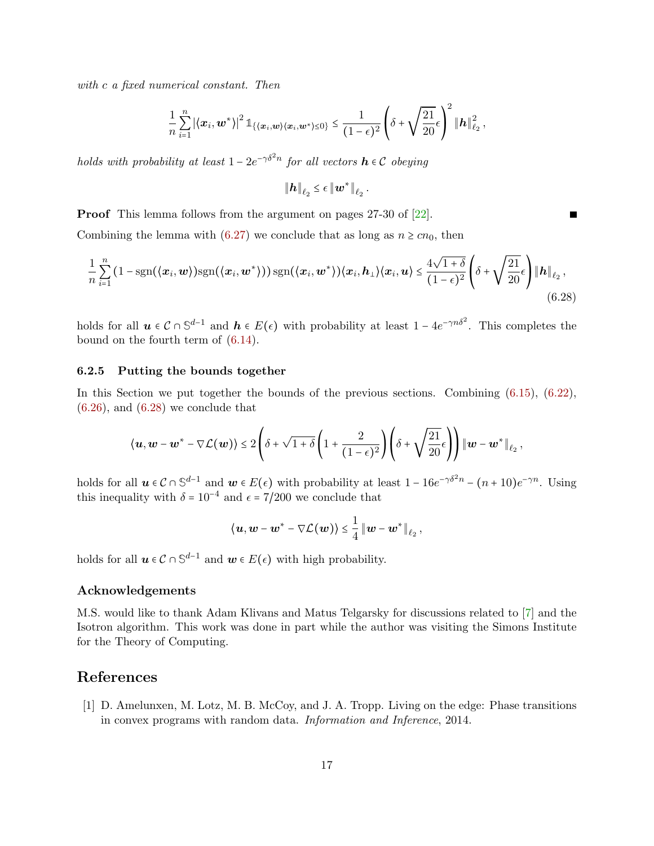with c a fixed numerical constant. Then

$$
\frac{1}{n}\sum_{i=1}^n | \langle x_i, \bm{w}^* \rangle |^2 \, \mathbb{1}_{\{\langle \bm{x}_i, \bm{w} \rangle \langle \bm{x}_i, \bm{w}^* \rangle \leq 0\}} \leq \frac{1}{(1-\epsilon)^2} \left( \delta + \sqrt{\frac{21}{20}} \epsilon \right)^2 \| \bm{h} \|_{\ell_2}^2 \, ,
$$

holds with probability at least  $1 - 2e^{-\gamma \delta^2 n}$  for all vectors  $\mathbf{h} \in \mathcal{C}$  obeying

$$
\|\boldsymbol{h}\|_{\ell_2}\leq \epsilon\,\|\boldsymbol{w}^*\|_{\ell_2}
$$

.

<span id="page-16-2"></span>П

Proof This lemma follows from the argument on pages 27-30 of [\[22\]](#page-18-0).

Combining the lemma with [\(6.27\)](#page-15-0) we conclude that as long as  $n \geq cn_0$ , then

$$
\frac{1}{n}\sum_{i=1}^{n}\left(1-\text{sgn}(\langle\mathbf{x}_i,\mathbf{w}\rangle)\text{sgn}(\langle\mathbf{x}_i,\mathbf{w}^*\rangle)\right)\text{sgn}(\langle\mathbf{x}_i,\mathbf{w}^*\rangle)\langle\mathbf{x}_i,\mathbf{h}_\perp\rangle\langle\mathbf{x}_i,\mathbf{u}\rangle\leq \frac{4\sqrt{1+\delta}}{(1-\epsilon)^2}\left(\delta+\sqrt{\frac{21}{20}}\epsilon\right)\|\mathbf{h}\|_{\ell_2},\tag{6.28}
$$

holds for all  $u \in C \cap \mathbb{S}^{d-1}$  and  $h \in E(\epsilon)$  with probability at least  $1 - 4e^{-\gamma n \delta^2}$ . This completes the bound on the fourth term of [\(6.14\)](#page-11-0).

#### <span id="page-16-1"></span>6.2.5 Putting the bounds together

In this Section we put together the bounds of the previous sections. Combining [\(6.15\)](#page-11-1), [\(6.22\)](#page-13-3),  $(6.26)$ , and  $(6.28)$  we conclude that

$$
\left\langle \boldsymbol{u}, \boldsymbol{w}-\boldsymbol{w}^*-\nabla \mathcal{L}(\boldsymbol{w})\right\rangle \leq 2\left(\delta+\sqrt{1+\delta}\left(1+\frac{2}{(1-\epsilon)^2}\right)\left(\delta+\sqrt{\frac{21}{20}}\epsilon\right)\right)\left\|\boldsymbol{w}-\boldsymbol{w}^*\right\|_{\ell_2},
$$

holds for all  $u \in C \cap \mathbb{S}^{d-1}$  and  $w \in E(\epsilon)$  with probability at least  $1 - 16e^{-\gamma \delta^2 n} - (n+10)e^{-\gamma n}$ . Using this inequality with  $\delta = 10^{-4}$  and  $\epsilon = 7/200$  we conclude that

$$
\langle \boldsymbol{u}, \boldsymbol{w}-\boldsymbol{w}^*-\nabla \mathcal{L}(\boldsymbol{w})\rangle \leq \frac{1}{4} \left\|\boldsymbol{w}-\boldsymbol{w}^*\right\|_{\ell_2},
$$

holds for all  $u \in C \cap \mathbb{S}^{d-1}$  and  $w \in E(\epsilon)$  with high probability.

### Acknowledgements

M.S. would like to thank Adam Klivans and Matus Telgarsky for discussions related to [\[7\]](#page-17-1) and the Isotron algorithm. This work was done in part while the author was visiting the Simons Institute for the Theory of Computing.

## References

<span id="page-16-0"></span>[1] D. Amelunxen, M. Lotz, M. B. McCoy, and J. A. Tropp. Living on the edge: Phase transitions in convex programs with random data. Information and Inference, 2014.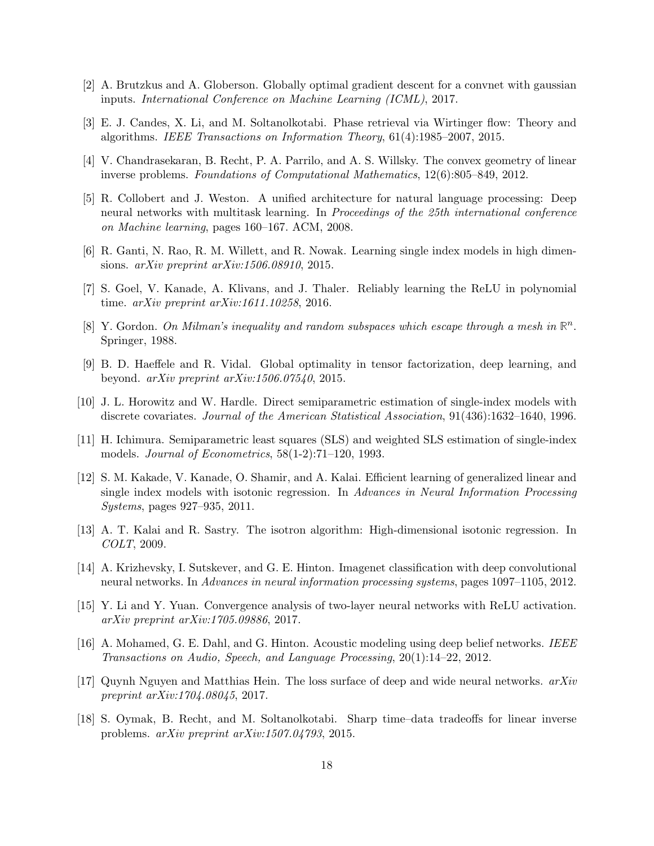- <span id="page-17-11"></span>[2] A. Brutzkus and A. Globerson. Globally optimal gradient descent for a convnet with gaussian inputs. International Conference on Machine Learning (ICML), 2017.
- <span id="page-17-15"></span>[3] E. J. Candes, X. Li, and M. Soltanolkotabi. Phase retrieval via Wirtinger flow: Theory and algorithms. IEEE Transactions on Information Theory, 61(4):1985–2007, 2015.
- <span id="page-17-6"></span>[4] V. Chandrasekaran, B. Recht, P. A. Parrilo, and A. S. Willsky. The convex geometry of linear inverse problems. Foundations of Computational Mathematics, 12(6):805–849, 2012.
- <span id="page-17-4"></span>[5] R. Collobert and J. Weston. A unified architecture for natural language processing: Deep neural networks with multitask learning. In Proceedings of the 25th international conference on Machine learning, pages 160–167. ACM, 2008.
- <span id="page-17-10"></span>[6] R. Ganti, N. Rao, R. M. Willett, and R. Nowak. Learning single index models in high dimensions. arXiv preprint arXiv:1506.08910, 2015.
- <span id="page-17-1"></span>[7] S. Goel, V. Kanade, A. Klivans, and J. Thaler. Reliably learning the ReLU in polynomial time. arXiv preprint arXiv:1611.10258, 2016.
- <span id="page-17-16"></span>[8] Y. Gordon. On Milman's inequality and random subspaces which escape through a mesh in **R** n . Springer, 1988.
- <span id="page-17-13"></span>[9] B. D. Haeffele and R. Vidal. Global optimality in tensor factorization, deep learning, and beyond. arXiv preprint arXiv:1506.07540, 2015.
- <span id="page-17-7"></span>[10] J. L. Horowitz and W. Hardle. Direct semiparametric estimation of single-index models with discrete covariates. Journal of the American Statistical Association, 91(436):1632–1640, 1996.
- <span id="page-17-8"></span>[11] H. Ichimura. Semiparametric least squares (SLS) and weighted SLS estimation of single-index models. Journal of Econometrics, 58(1-2):71–120, 1993.
- <span id="page-17-9"></span>[12] S. M. Kakade, V. Kanade, O. Shamir, and A. Kalai. Efficient learning of generalized linear and single index models with isotonic regression. In Advances in Neural Information Processing Systems, pages 927–935, 2011.
- <span id="page-17-0"></span>[13] A. T. Kalai and R. Sastry. The isotron algorithm: High-dimensional isotonic regression. In COLT, 2009.
- <span id="page-17-2"></span>[14] A. Krizhevsky, I. Sutskever, and G. E. Hinton. Imagenet classification with deep convolutional neural networks. In Advances in neural information processing systems, pages 1097–1105, 2012.
- <span id="page-17-12"></span>[15] Y. Li and Y. Yuan. Convergence analysis of two-layer neural networks with ReLU activation. arXiv preprint arXiv:1705.09886, 2017.
- <span id="page-17-3"></span>[16] A. Mohamed, G. E. Dahl, and G. Hinton. Acoustic modeling using deep belief networks. IEEE Transactions on Audio, Speech, and Language Processing, 20(1):14–22, 2012.
- <span id="page-17-14"></span>[17] Quynh Nguyen and Matthias Hein. The loss surface of deep and wide neural networks.  $arXiv$ preprint arXiv:1704.08045, 2017.
- <span id="page-17-5"></span>[18] S. Oymak, B. Recht, and M. Soltanolkotabi. Sharp time–data tradeoffs for linear inverse problems. arXiv preprint arXiv:1507.04793, 2015.